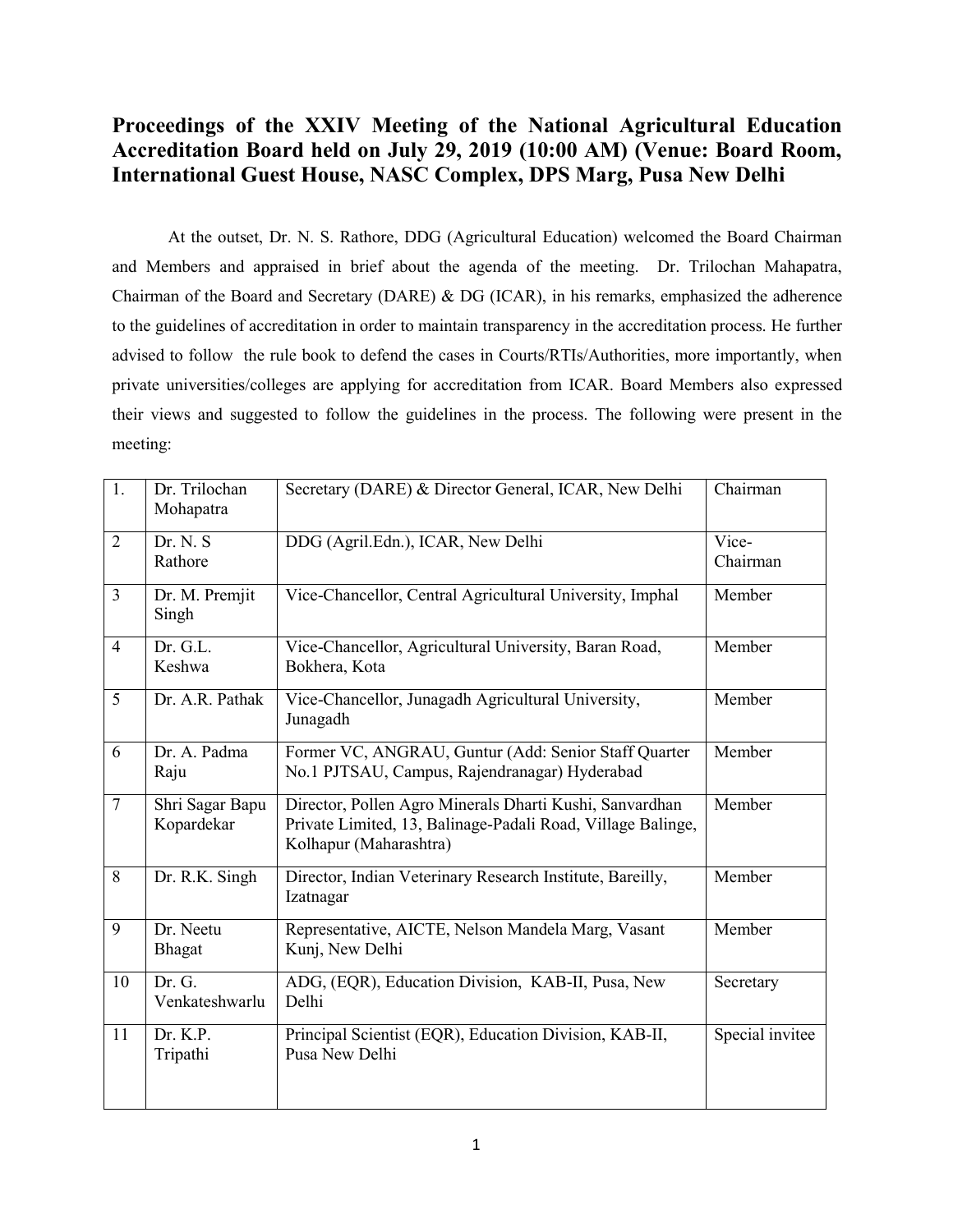## **Proceedings of the XXIV Meeting of the National Agricultural Education Accreditation Board held on July 29, 2019 (10:00 AM) (Venue: Board Room, International Guest House, NASC Complex, DPS Marg, Pusa New Delhi**

At the outset, Dr. N. S. Rathore, DDG (Agricultural Education) welcomed the Board Chairman and Members and appraised in brief about the agenda of the meeting. Dr. Trilochan Mahapatra, Chairman of the Board and Secretary (DARE) & DG (ICAR), in his remarks, emphasized the adherence to the guidelines of accreditation in order to maintain transparency in the accreditation process. He further advised to follow the rule book to defend the cases in Courts/RTIs/Authorities, more importantly, when private universities/colleges are applying for accreditation from ICAR. Board Members also expressed their views and suggested to follow the guidelines in the process.The following were present in the meeting:

| $\overline{1}$ . | Dr. Trilochan<br>Mohapatra    | Secretary (DARE) & Director General, ICAR, New Delhi                                                                                             | Chairman          |
|------------------|-------------------------------|--------------------------------------------------------------------------------------------------------------------------------------------------|-------------------|
| $\overline{2}$   | Dr. N. S<br>Rathore           | DDG (Agril.Edn.), ICAR, New Delhi                                                                                                                | Vice-<br>Chairman |
| $\overline{3}$   | Dr. M. Premjit<br>Singh       | Vice-Chancellor, Central Agricultural University, Imphal                                                                                         | Member            |
| $\overline{4}$   | Dr. G.L.<br>Keshwa            | Vice-Chancellor, Agricultural University, Baran Road,<br>Bokhera, Kota                                                                           | Member            |
| 5                | Dr. A.R. Pathak               | Vice-Chancellor, Junagadh Agricultural University,<br>Junagadh                                                                                   | Member            |
| 6                | Dr. A. Padma<br>Raju          | Former VC, ANGRAU, Guntur (Add: Senior Staff Quarter<br>No.1 PJTSAU, Campus, Rajendranagar) Hyderabad                                            | Member            |
| 7                | Shri Sagar Bapu<br>Kopardekar | Director, Pollen Agro Minerals Dharti Kushi, Sanvardhan<br>Private Limited, 13, Balinage-Padali Road, Village Balinge,<br>Kolhapur (Maharashtra) | Member            |
| 8                | Dr. R.K. Singh                | Director, Indian Veterinary Research Institute, Bareilly,<br>Izatnagar                                                                           | Member            |
| 9                | Dr. Neetu<br>Bhagat           | Representative, AICTE, Nelson Mandela Marg, Vasant<br>Kunj, New Delhi                                                                            | Member            |
| 10               | Dr. G.<br>Venkateshwarlu      | ADG, (EQR), Education Division, KAB-II, Pusa, New<br>Delhi                                                                                       | Secretary         |
| 11               | Dr. K.P.<br>Tripathi          | Principal Scientist (EQR), Education Division, KAB-II,<br>Pusa New Delhi                                                                         | Special invitee   |
|                  |                               |                                                                                                                                                  |                   |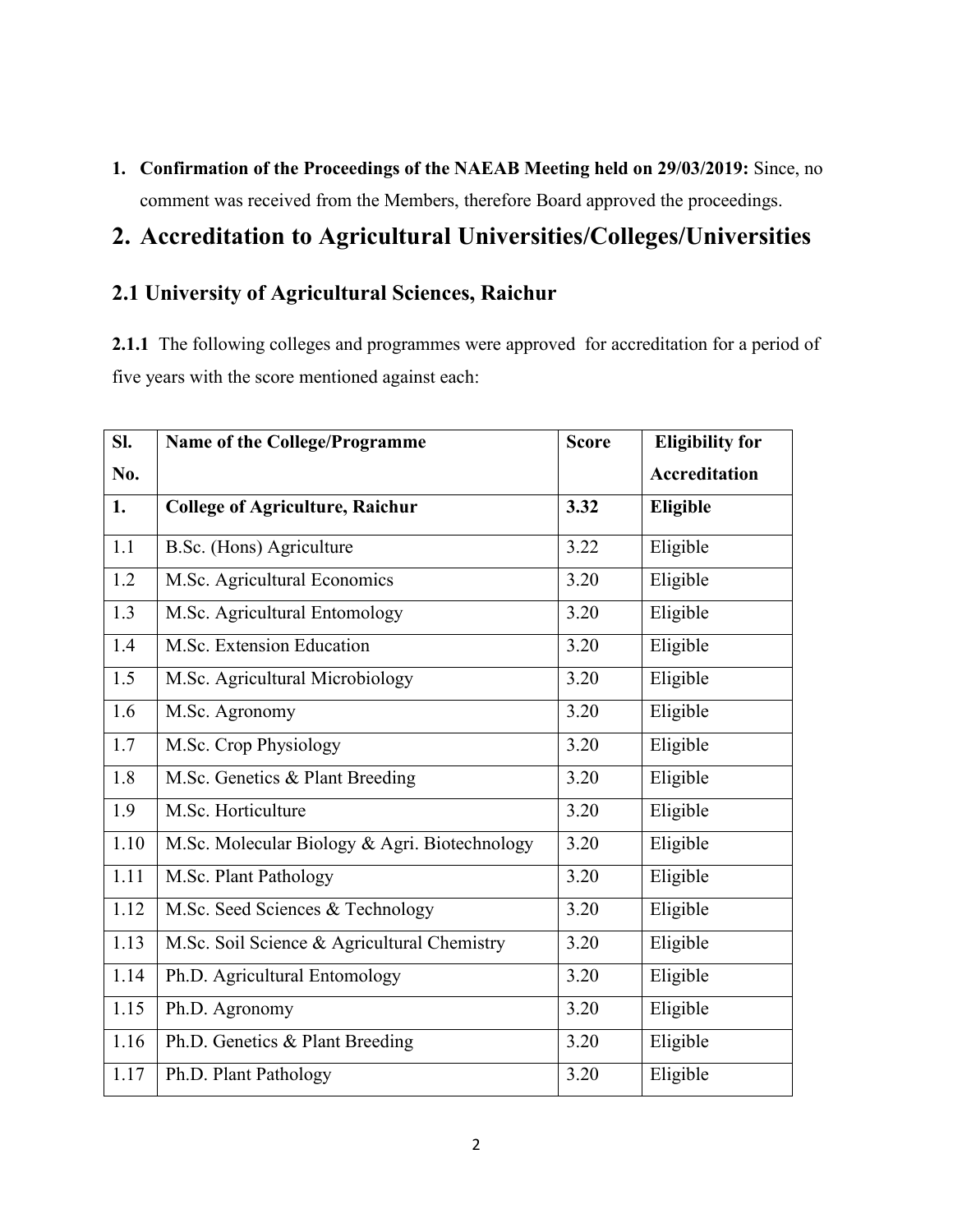**1. Confirmation of the Proceedings of the NAEAB Meeting held on 29/03/2019:** Since, no comment was received from the Members, therefore Board approved the proceedings.

## **2. Accreditation to Agricultural Universities/Colleges/Universities**

# **2.1 University of Agricultural Sciences, Raichur**

2.1.1 The following colleges and programmes were approved for accreditation for a period of five years with the score mentioned against each:

| Sl.  | Name of the College/Programme                 | <b>Score</b> | <b>Eligibility for</b> |
|------|-----------------------------------------------|--------------|------------------------|
| No.  |                                               |              | <b>Accreditation</b>   |
| 1.   | <b>College of Agriculture, Raichur</b>        | 3.32         | Eligible               |
| 1.1  | B.Sc. (Hons) Agriculture                      | 3.22         | Eligible               |
| 1.2  | M.Sc. Agricultural Economics                  | 3.20         | Eligible               |
| 1.3  | M.Sc. Agricultural Entomology                 | 3.20         | Eligible               |
| 1.4  | M.Sc. Extension Education                     | 3.20         | Eligible               |
| 1.5  | M.Sc. Agricultural Microbiology               | 3.20         | Eligible               |
| 1.6  | M.Sc. Agronomy                                | 3.20         | Eligible               |
| 1.7  | M.Sc. Crop Physiology                         | 3.20         | Eligible               |
| 1.8  | M.Sc. Genetics & Plant Breeding               | 3.20         | Eligible               |
| 1.9  | M.Sc. Horticulture                            | 3.20         | Eligible               |
| 1.10 | M.Sc. Molecular Biology & Agri. Biotechnology | 3.20         | Eligible               |
| 1.11 | M.Sc. Plant Pathology                         | 3.20         | Eligible               |
| 1.12 | M.Sc. Seed Sciences & Technology              | 3.20         | Eligible               |
| 1.13 | M.Sc. Soil Science & Agricultural Chemistry   | 3.20         | Eligible               |
| 1.14 | Ph.D. Agricultural Entomology                 | 3.20         | Eligible               |
| 1.15 | Ph.D. Agronomy                                | 3.20         | Eligible               |
| 1.16 | Ph.D. Genetics & Plant Breeding               | 3.20         | Eligible               |
| 1.17 | Ph.D. Plant Pathology                         | 3.20         | Eligible               |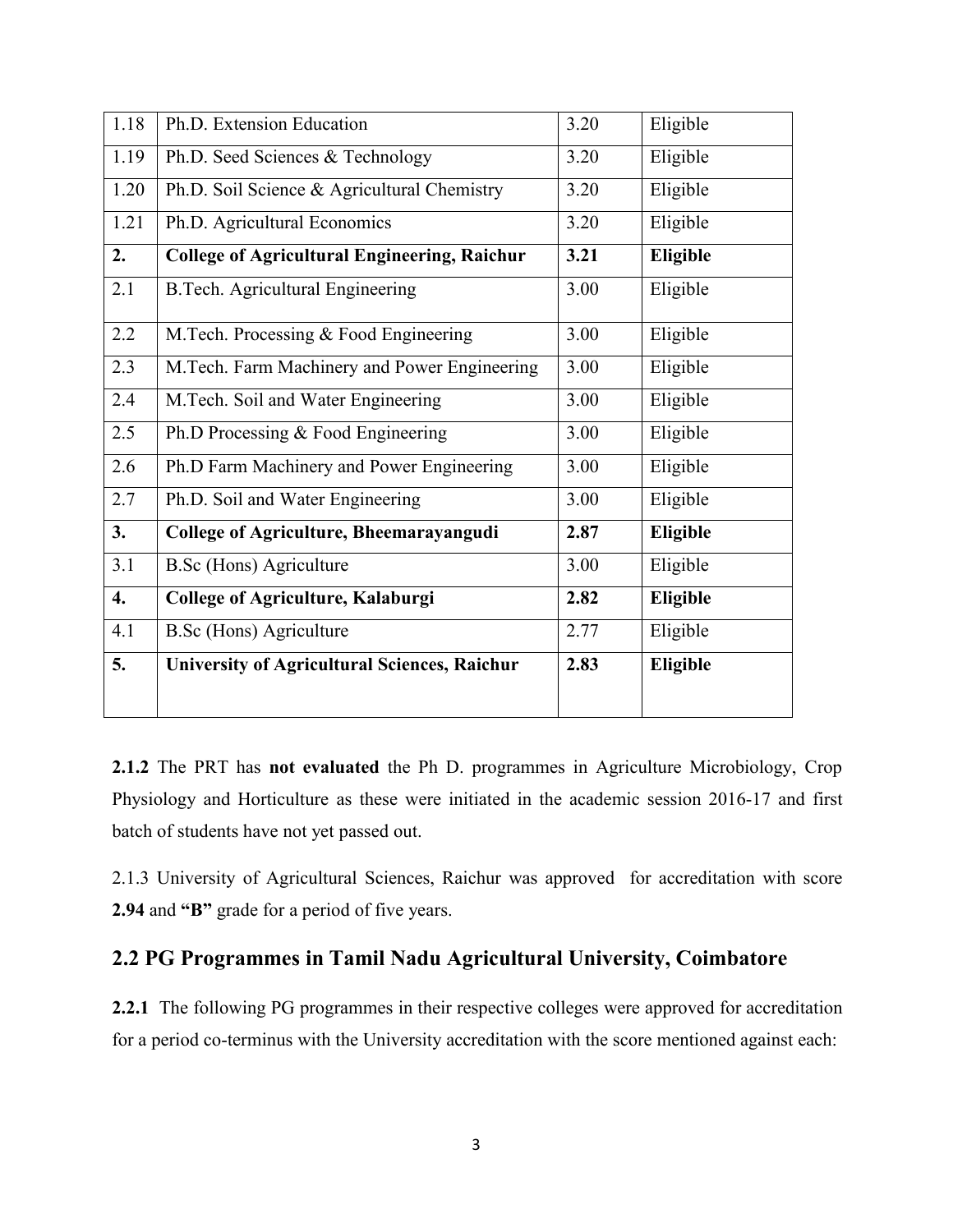| 1.18             | Ph.D. Extension Education                           | 3.20 | Eligible        |
|------------------|-----------------------------------------------------|------|-----------------|
| 1.19             | Ph.D. Seed Sciences & Technology                    | 3.20 | Eligible        |
| 1.20             | Ph.D. Soil Science & Agricultural Chemistry         | 3.20 | Eligible        |
| 1.21             | Ph.D. Agricultural Economics                        | 3.20 | Eligible        |
| 2.               | <b>College of Agricultural Engineering, Raichur</b> | 3.21 | Eligible        |
| 2.1              | <b>B.Tech. Agricultural Engineering</b>             | 3.00 | Eligible        |
| 2.2              | M.Tech. Processing & Food Engineering               | 3.00 | Eligible        |
| 2.3              | M.Tech. Farm Machinery and Power Engineering        | 3.00 | Eligible        |
| 2.4              | M.Tech. Soil and Water Engineering                  | 3.00 | Eligible        |
| 2.5              | Ph.D Processing & Food Engineering                  | 3.00 | Eligible        |
| 2.6              | Ph.D Farm Machinery and Power Engineering           | 3.00 | Eligible        |
| 2.7              | Ph.D. Soil and Water Engineering                    | 3.00 | Eligible        |
| 3.               | College of Agriculture, Bheemarayangudi             | 2.87 | Eligible        |
| 3.1              | <b>B.Sc (Hons) Agriculture</b>                      | 3.00 | Eligible        |
| $\overline{4}$ . | College of Agriculture, Kalaburgi                   | 2.82 | Eligible        |
| 4.1              | <b>B.Sc (Hons) Agriculture</b>                      | 2.77 | Eligible        |
| 5.               | <b>University of Agricultural Sciences, Raichur</b> | 2.83 | <b>Eligible</b> |

**2.1.2** The PRT has **not evaluated** the Ph D. programmes in Agriculture Microbiology, Crop Physiology and Horticulture as these were initiated in the academic session 2016-17 and first batch of students have not yet passed out.

2.1.3 University of Agricultural Sciences, Raichur was approved for accreditation with score **2.94** and **"B"** grade for a period of five years.

## **2.2 PG Programmes in Tamil Nadu Agricultural University, Coimbatore**

**2.2.1** The following PG programmes in their respective colleges were approved for accreditation for a period co-terminus with the University accreditation with the score mentioned against each: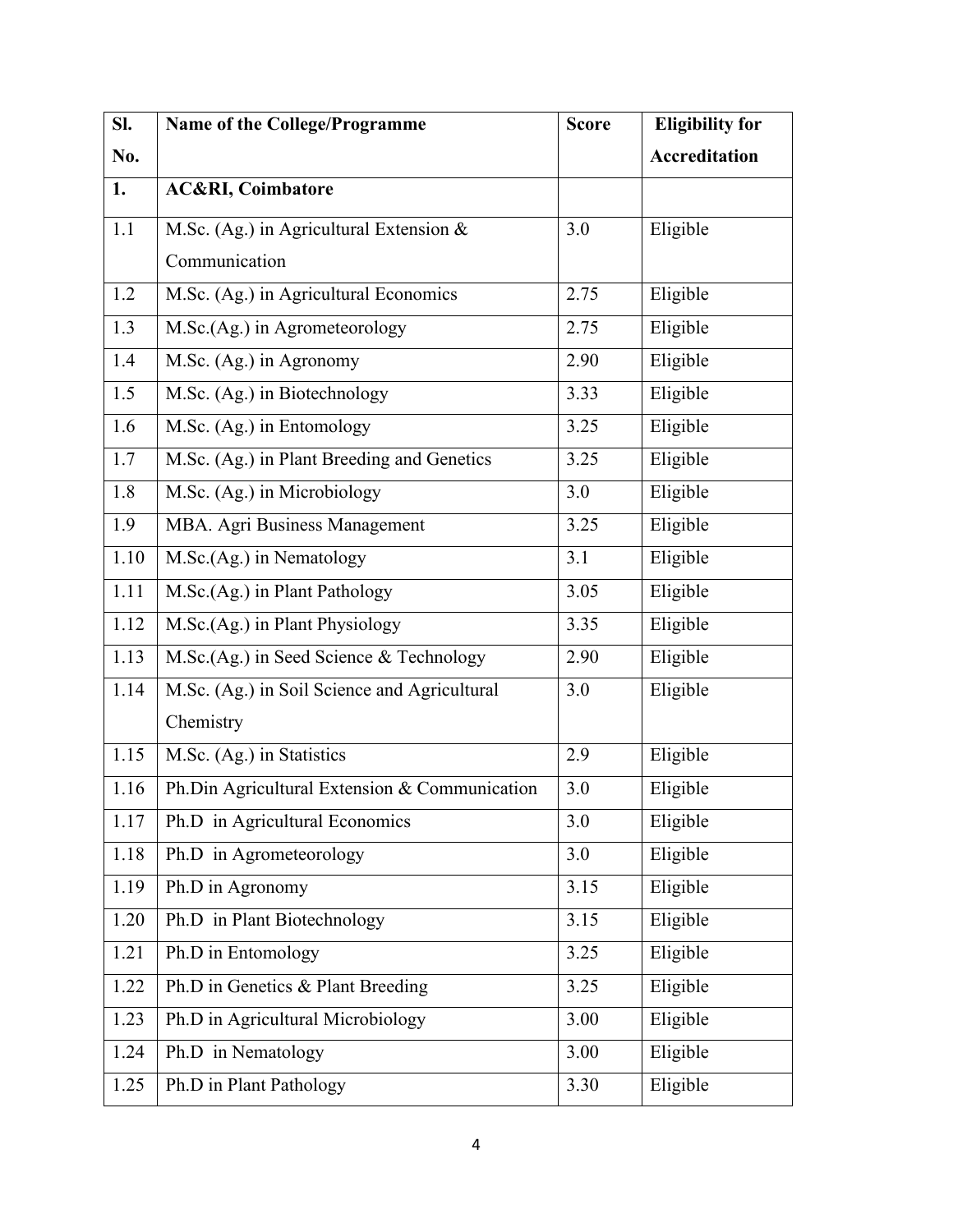| SI.      | Name of the College/Programme                 | <b>Score</b> | <b>Eligibility for</b> |
|----------|-----------------------------------------------|--------------|------------------------|
| No.      |                                               |              | <b>Accreditation</b>   |
| 1.       | <b>AC&amp;RI, Coimbatore</b>                  |              |                        |
| 1.1      | M.Sc. (Ag.) in Agricultural Extension $\&$    | 3.0          | Eligible               |
|          | Communication                                 |              |                        |
| 1.2      | M.Sc. (Ag.) in Agricultural Economics         | 2.75         | Eligible               |
| 1.3      | M.Sc.(Ag.) in Agrometeorology                 | 2.75         | Eligible               |
| 1.4      | M.Sc. (Ag.) in Agronomy                       | 2.90         | Eligible               |
| 1.5      | M.Sc. (Ag.) in Biotechnology                  | 3.33         | Eligible               |
| 1.6      | M.Sc. (Ag.) in Entomology                     | 3.25         | Eligible               |
| 1.7      | M.Sc. (Ag.) in Plant Breeding and Genetics    | 3.25         | Eligible               |
| 1.8      | M.Sc. (Ag.) in Microbiology                   | 3.0          | Eligible               |
| 1.9      | MBA. Agri Business Management                 | 3.25         | Eligible               |
| $1.10\,$ | M.Sc.(Ag.) in Nematology                      | 3.1          | Eligible               |
| 1.11     | M.Sc.(Ag.) in Plant Pathology                 | 3.05         | Eligible               |
| 1.12     | M.Sc.(Ag.) in Plant Physiology                | 3.35         | Eligible               |
| 1.13     | M.Sc.(Ag.) in Seed Science & Technology       | 2.90         | Eligible               |
| 1.14     | M.Sc. (Ag.) in Soil Science and Agricultural  | 3.0          | Eligible               |
|          | Chemistry                                     |              |                        |
| 1.15     | M.Sc. (Ag.) in Statistics                     | 2.9          | Eligible               |
| 1.16     | Ph.Din Agricultural Extension & Communication | 3.0          | Eligible               |
| 1.17     | Ph.D in Agricultural Economics                | 3.0          | Eligible               |
| 1.18     | Ph.D in Agrometeorology                       | 3.0          | Eligible               |
| 1.19     | Ph.D in Agronomy                              | 3.15         | Eligible               |
| 1.20     | Ph.D in Plant Biotechnology                   | 3.15         | Eligible               |
| 1.21     | Ph.D in Entomology                            | 3.25         | Eligible               |
| 1.22     | Ph.D in Genetics & Plant Breeding             | 3.25         | Eligible               |
| 1.23     | Ph.D in Agricultural Microbiology             | 3.00         | Eligible               |
| 1.24     | Ph.D in Nematology                            | 3.00         | Eligible               |
| 1.25     | Ph.D in Plant Pathology                       | 3.30         | Eligible               |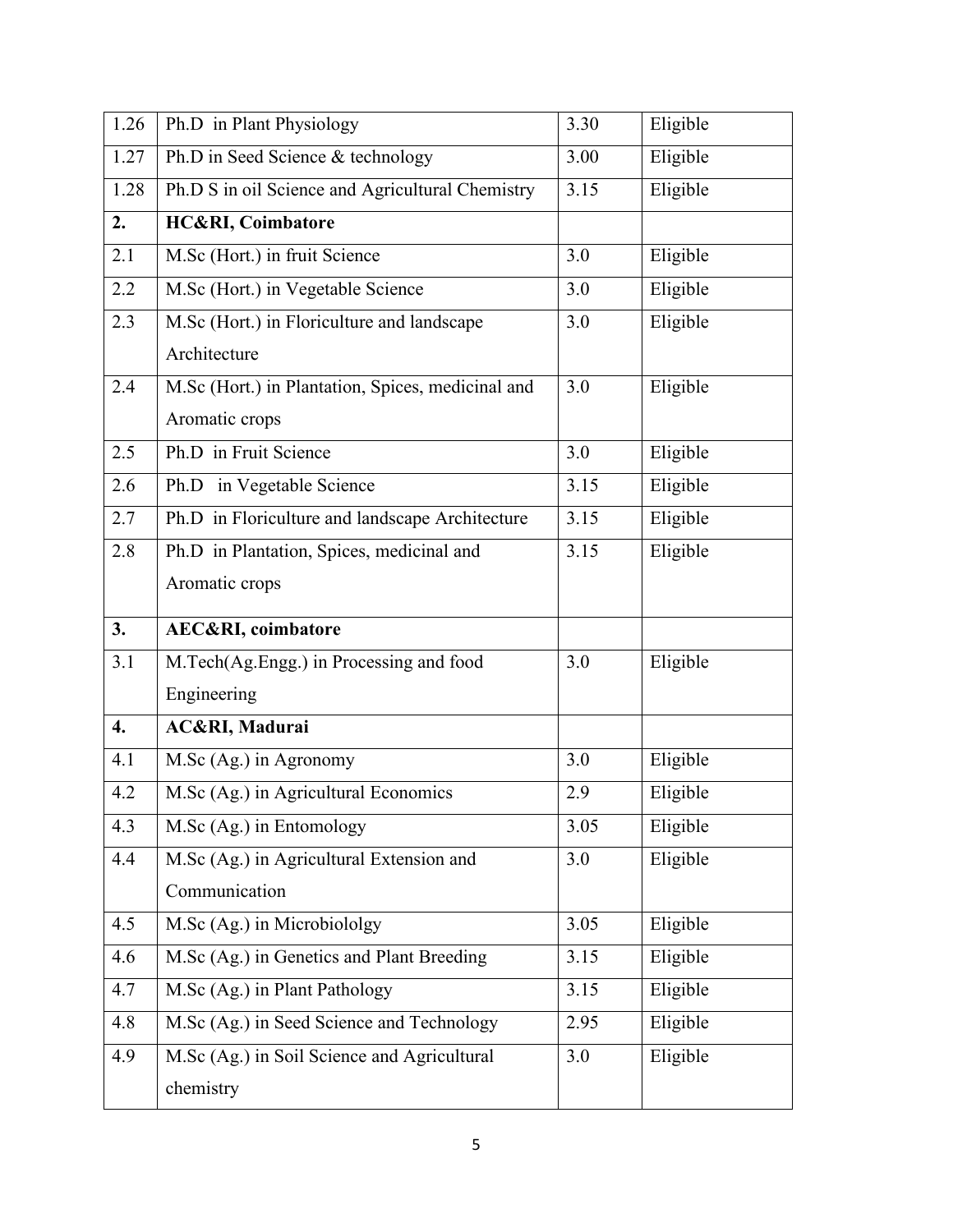| 1.26               | Ph.D in Plant Physiology                          | 3.30 | Eligible |
|--------------------|---------------------------------------------------|------|----------|
| 1.27               | Ph.D in Seed Science & technology                 | 3.00 | Eligible |
| 1.28               | Ph.D S in oil Science and Agricultural Chemistry  | 3.15 | Eligible |
| 2.                 | <b>HC&amp;RI, Coimbatore</b>                      |      |          |
| 2.1                | M.Sc (Hort.) in fruit Science                     | 3.0  | Eligible |
| 2.2                | M.Sc (Hort.) in Vegetable Science                 | 3.0  | Eligible |
| 2.3                | M.Sc (Hort.) in Floriculture and landscape        | 3.0  | Eligible |
|                    | Architecture                                      |      |          |
| 2.4                | M.Sc (Hort.) in Plantation, Spices, medicinal and | 3.0  | Eligible |
|                    | Aromatic crops                                    |      |          |
| 2.5                | Ph.D in Fruit Science                             | 3.0  | Eligible |
| 2.6                | Ph.D in Vegetable Science                         | 3.15 | Eligible |
| 2.7                | Ph.D in Floriculture and landscape Architecture   | 3.15 | Eligible |
| 2.8                | Ph.D in Plantation, Spices, medicinal and         | 3.15 | Eligible |
|                    | Aromatic crops                                    |      |          |
| 3.                 | <b>AEC&amp;RI</b> , coimbatore                    |      |          |
|                    |                                                   |      |          |
| 3.1                | M.Tech(Ag.Engg.) in Processing and food           | 3.0  | Eligible |
|                    | Engineering                                       |      |          |
| $\boldsymbol{4}$ . | AC&RI, Madurai                                    |      |          |
| 4.1                | M.Sc (Ag.) in Agronomy                            | 3.0  | Eligible |
| 4.2                | M.Sc (Ag.) in Agricultural Economics              | 2.9  | Eligible |
| 4.3                | M.Sc (Ag.) in Entomology                          | 3.05 | Eligible |
| 4.4                | M.Sc (Ag.) in Agricultural Extension and          | 3.0  | Eligible |
|                    | Communication                                     |      |          |
| 4.5                | M.Sc (Ag.) in Microbiololgy                       | 3.05 | Eligible |
| 4.6                | M.Sc (Ag.) in Genetics and Plant Breeding         | 3.15 | Eligible |
| 4.7                | M.Sc (Ag.) in Plant Pathology                     | 3.15 | Eligible |
| 4.8                | M.Sc (Ag.) in Seed Science and Technology         | 2.95 | Eligible |
| 4.9                | M.Sc (Ag.) in Soil Science and Agricultural       | 3.0  | Eligible |
|                    | chemistry                                         |      |          |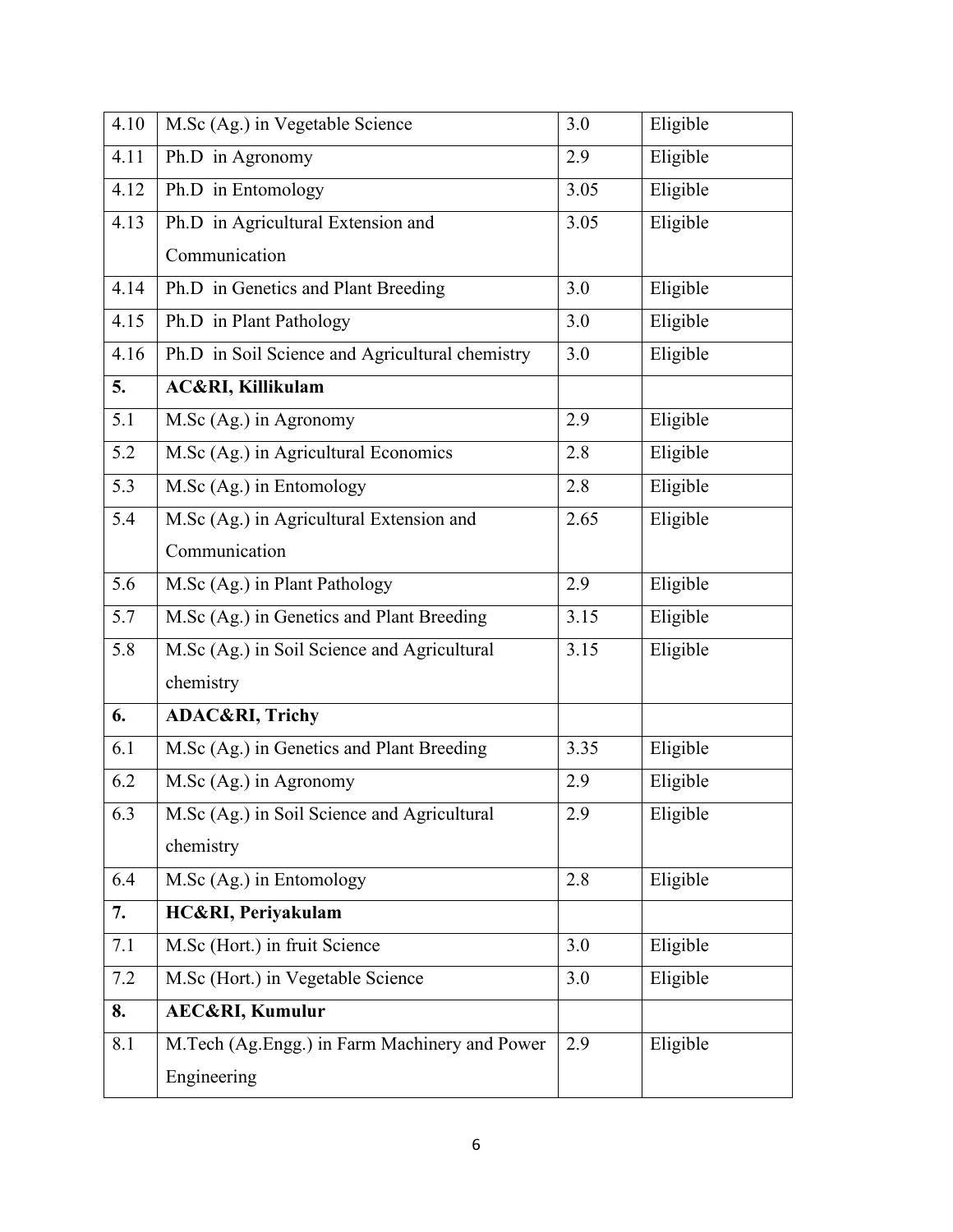| 4.10 | M.Sc (Ag.) in Vegetable Science                 | 3.0              | Eligible |
|------|-------------------------------------------------|------------------|----------|
| 4.11 | Ph.D in Agronomy                                | 2.9              | Eligible |
| 4.12 | Ph.D in Entomology                              | 3.05             | Eligible |
| 4.13 | Ph.D in Agricultural Extension and              | 3.05             | Eligible |
|      | Communication                                   |                  |          |
| 4.14 | Ph.D in Genetics and Plant Breeding             | 3.0              | Eligible |
| 4.15 | Ph.D in Plant Pathology                         | 3.0              | Eligible |
| 4.16 | Ph.D in Soil Science and Agricultural chemistry | 3.0              | Eligible |
| 5.   | <b>AC&amp;RI, Killikulam</b>                    |                  |          |
| 5.1  | M.Sc (Ag.) in Agronomy                          | 2.9              | Eligible |
| 5.2  | M.Sc (Ag.) in Agricultural Economics            | 2.8              | Eligible |
| 5.3  | M.Sc (Ag.) in Entomology                        | 2.8              | Eligible |
| 5.4  | M.Sc (Ag.) in Agricultural Extension and        | 2.65             | Eligible |
|      | Communication                                   |                  |          |
| 5.6  | M.Sc (Ag.) in Plant Pathology                   | 2.9              | Eligible |
| 5.7  | M.Sc (Ag.) in Genetics and Plant Breeding       | 3.15             | Eligible |
| 5.8  | M.Sc (Ag.) in Soil Science and Agricultural     | 3.15             | Eligible |
|      | chemistry                                       |                  |          |
| 6.   | ADAC&RI, Trichy                                 |                  |          |
| 6.1  | M.Sc (Ag.) in Genetics and Plant Breeding       | 3.35             | Eligible |
| 6.2  | M.Sc (Ag.) in Agronomy                          | 2.9              | Eligible |
| 6.3  | M.Sc (Ag.) in Soil Science and Agricultural     | $\overline{2.9}$ | Eligible |
|      | chemistry                                       |                  |          |
| 6.4  | M.Sc (Ag.) in Entomology                        | 2.8              | Eligible |
| 7.   | HC&RI, Periyakulam                              |                  |          |
| 7.1  | M.Sc (Hort.) in fruit Science                   | 3.0              | Eligible |
| 7.2  | M.Sc (Hort.) in Vegetable Science               | 3.0              | Eligible |
| 8.   | <b>AEC&amp;RI, Kumulur</b>                      |                  |          |
| 8.1  | M.Tech (Ag.Engg.) in Farm Machinery and Power   | 2.9              | Eligible |
|      | Engineering                                     |                  |          |
|      |                                                 |                  |          |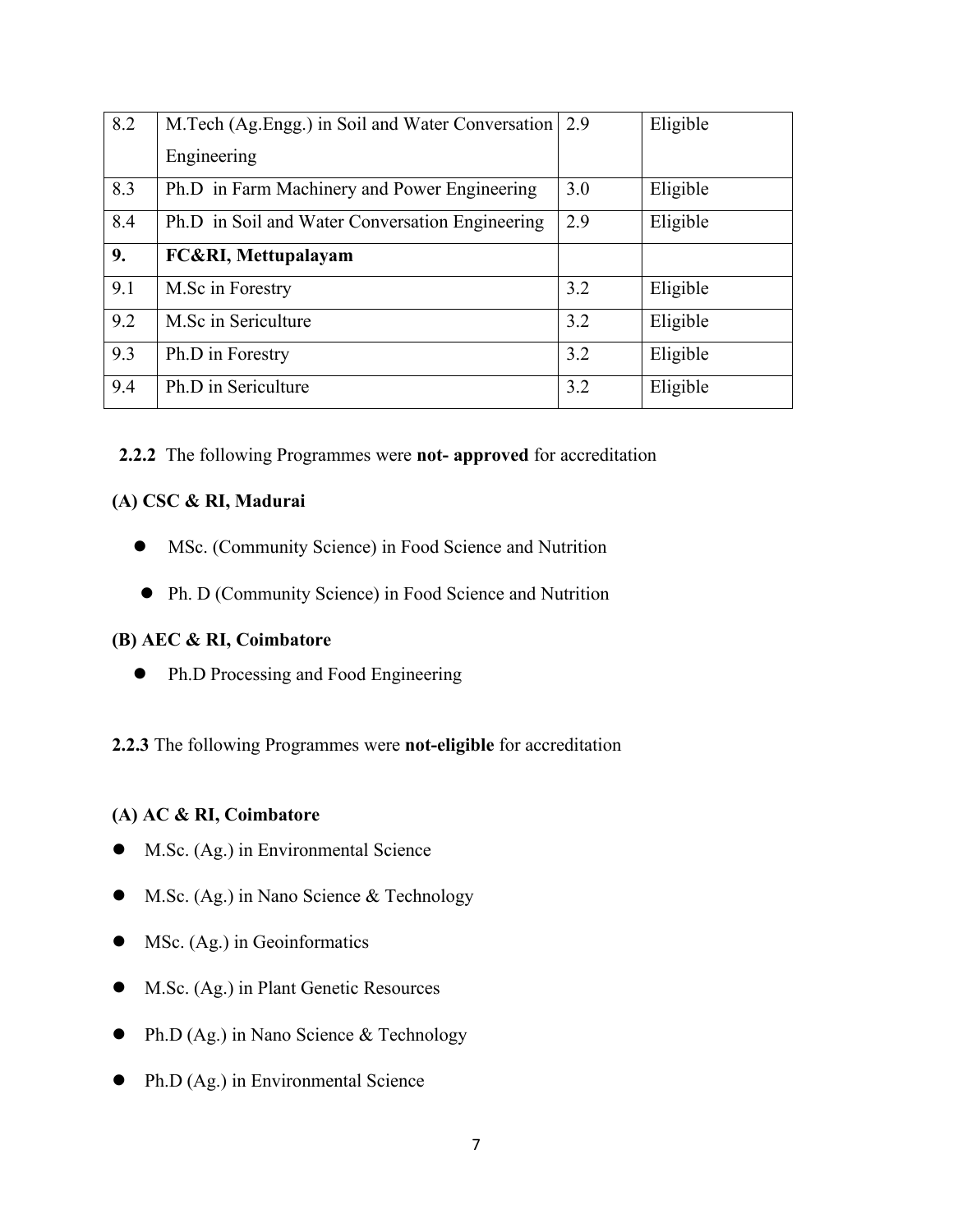| 8.2 | M. Tech (Ag. Engg.) in Soil and Water Conversation 2.9 |     | Eligible |
|-----|--------------------------------------------------------|-----|----------|
|     | Engineering                                            |     |          |
| 8.3 | Ph.D in Farm Machinery and Power Engineering           | 3.0 | Eligible |
| 8.4 | Ph.D in Soil and Water Conversation Engineering        | 2.9 | Eligible |
| 9.  | <b>FC&amp;RI, Mettupalayam</b>                         |     |          |
| 9.1 | M.Sc in Forestry                                       | 3.2 | Eligible |
| 9.2 | M.Sc in Sericulture                                    | 3.2 | Eligible |
| 9.3 | Ph.D in Forestry                                       | 3.2 | Eligible |
| 9.4 | Ph.D in Sericulture                                    | 3.2 | Eligible |

### **2.2.2** The following Programmes were **not- approved** for accreditation

## **(A) CSC & RI, Madurai**

- MSc. (Community Science) in Food Science and Nutrition
- Ph. D (Community Science) in Food Science and Nutrition

## **(B) AEC & RI, Coimbatore**

• Ph.D Processing and Food Engineering

**2.2.3** The following Programmes were **not-eligible** for accreditation

### **(A) AC & RI, Coimbatore**

- M.Sc. (Ag.) in Environmental Science
- M.Sc. (Ag.) in Nano Science & Technology
- MSc. (Ag.) in Geoinformatics
- M.Sc. (Ag.) in Plant Genetic Resources
- Ph.D (Ag.) in Nano Science & Technology
- Ph.D (Ag.) in Environmental Science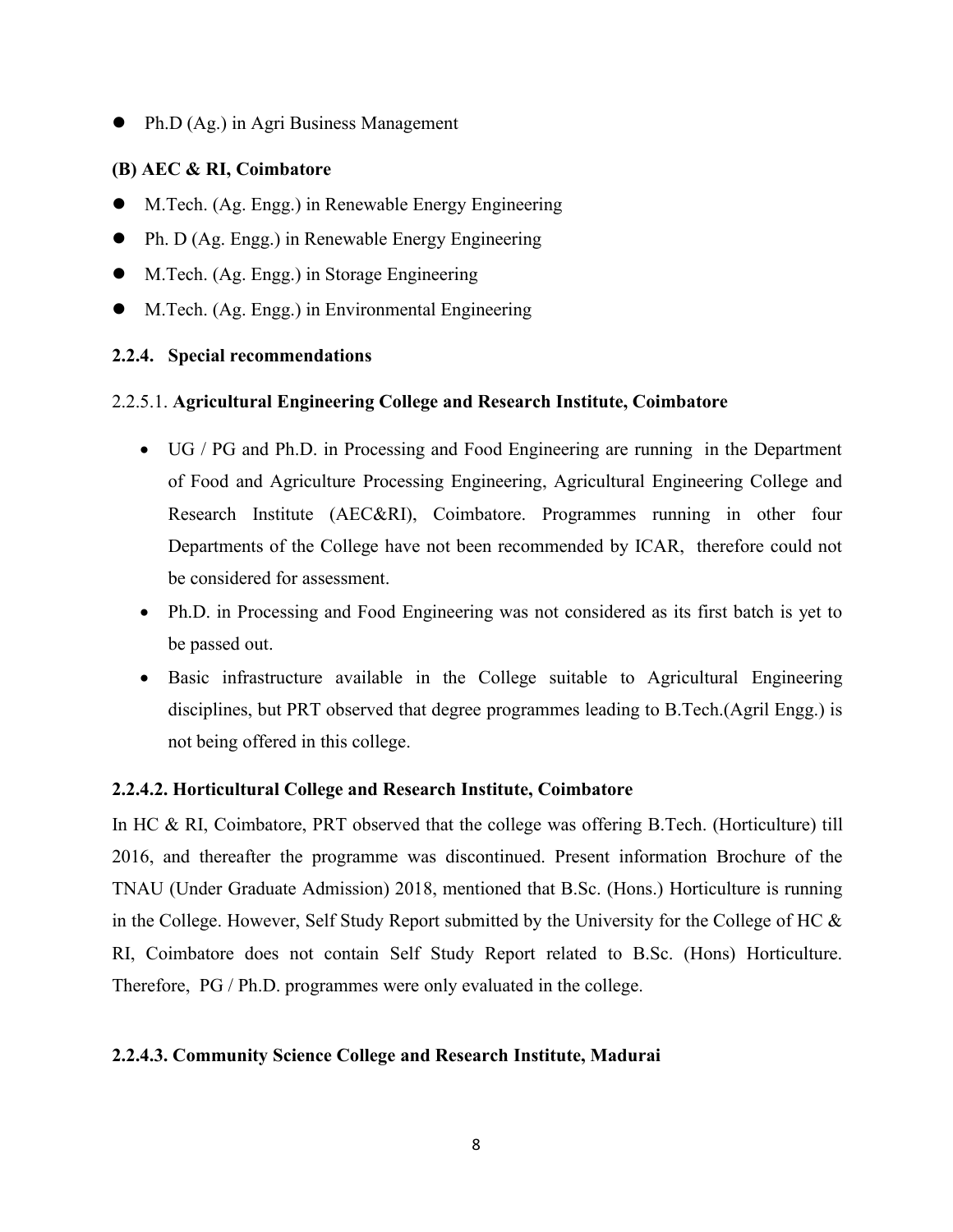Ph.D (Ag.) in Agri Business Management

### **(B) AEC & RI, Coimbatore**

- M.Tech. (Ag. Engg.) in Renewable Energy Engineering
- Ph. D (Ag. Engg.) in Renewable Energy Engineering
- M.Tech. (Ag. Engg.) in Storage Engineering
- M.Tech. (Ag. Engg.) in Environmental Engineering

### **2.2.4. Special recommendations**

### 2.2.5.1. **Agricultural Engineering College and Research Institute, Coimbatore**

- UG / PG and Ph.D. in Processing and Food Engineering are running in the Department of Food and Agriculture Processing Engineering, Agricultural Engineering College and Research Institute (AEC&RI), Coimbatore. Programmes running in other four Departments of the College have not been recommended by ICAR, therefore could not be considered for assessment.
- Ph.D. in Processing and Food Engineering was not considered as its first batch is yet to be passed out.
- Basic infrastructure available in the College suitable to Agricultural Engineering disciplines, but PRT observed that degree programmes leading to B.Tech.(Agril Engg.) is not being offered in this college.

#### **2.2.4.2. Horticultural College and Research Institute, Coimbatore**

In HC  $\&$  RI, Coimbatore, PRT observed that the college was offering B.Tech. (Horticulture) till 2016, and thereafter the programme was discontinued. Present information Brochure of the TNAU (Under Graduate Admission) 2018, mentioned that B.Sc. (Hons.) Horticulture is running in the College. However, Self Study Report submitted by the University for the College of HC  $\&$ RI, Coimbatore does not contain Self Study Report related to B.Sc. (Hons) Horticulture. Therefore, PG / Ph.D. programmes were only evaluated in the college.

#### **2.2.4.3. Community Science College and Research Institute, Madurai**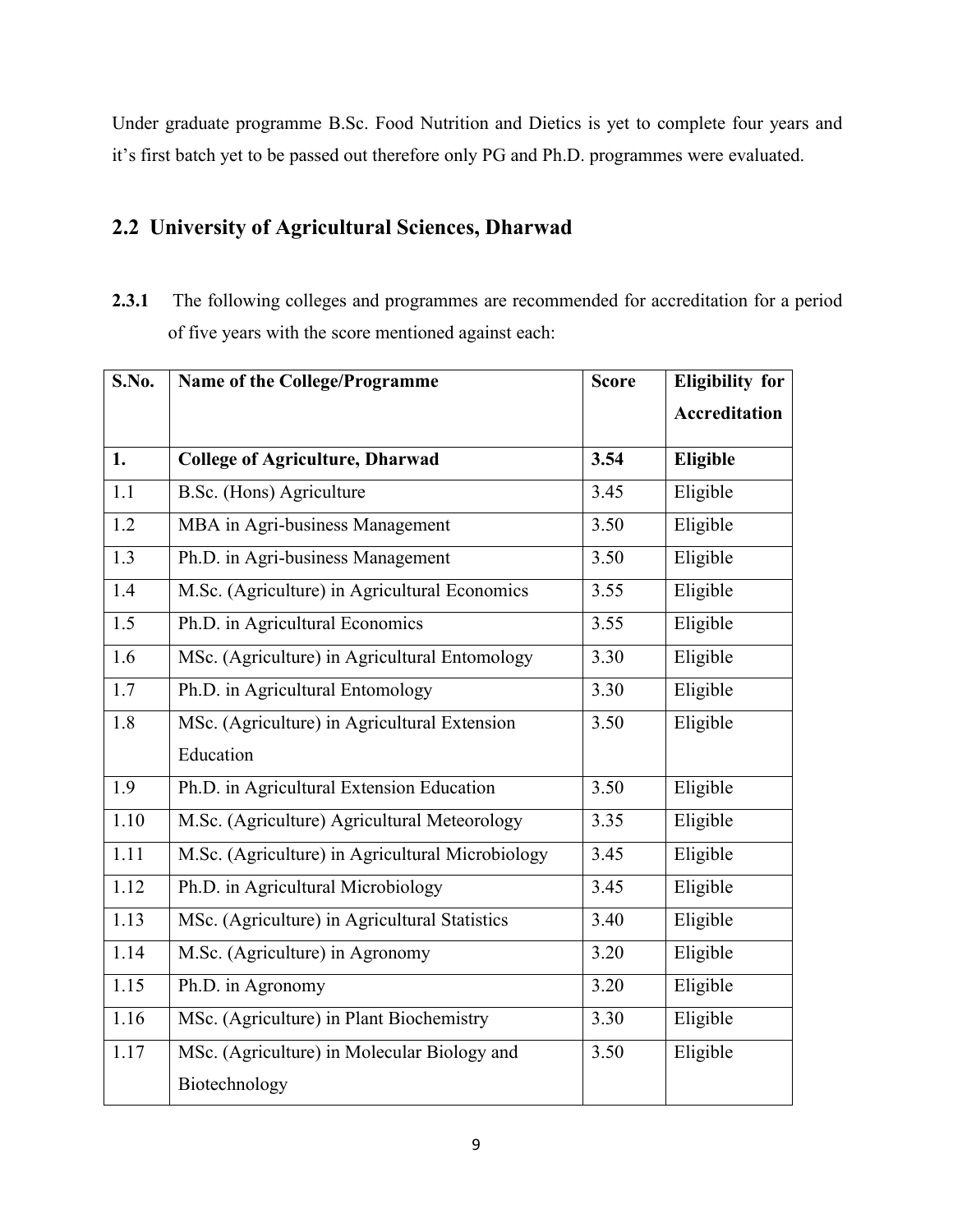Under graduate programme B.Sc. Food Nutrition and Dietics is yet to complete four years and it's first batch yet to be passed out therefore only PG and Ph.D. programmes were evaluated.

## **2.2 University of Agricultural Sciences, Dharwad**

**2.3.1** The following colleges and programmes are recommended for accreditation for a period of five years with the score mentioned against each:

| S.No. | Name of the College/Programme                    | <b>Score</b> | <b>Eligibility for</b> |
|-------|--------------------------------------------------|--------------|------------------------|
|       |                                                  |              | <b>Accreditation</b>   |
| 1.    | <b>College of Agriculture, Dharwad</b>           | 3.54         | Eligible               |
| 1.1   | B.Sc. (Hons) Agriculture                         | 3.45         | Eligible               |
| 1.2   | MBA in Agri-business Management                  | 3.50         | Eligible               |
| 1.3   | Ph.D. in Agri-business Management                | 3.50         | Eligible               |
| 1.4   | M.Sc. (Agriculture) in Agricultural Economics    | 3.55         | Eligible               |
| 1.5   | Ph.D. in Agricultural Economics                  | 3.55         | Eligible               |
| 1.6   | MSc. (Agriculture) in Agricultural Entomology    | 3.30         | Eligible               |
| 1.7   | Ph.D. in Agricultural Entomology                 | 3.30         | Eligible               |
| 1.8   | MSc. (Agriculture) in Agricultural Extension     | 3.50         | Eligible               |
|       | Education                                        |              |                        |
| 1.9   | Ph.D. in Agricultural Extension Education        | 3.50         | Eligible               |
| 1.10  | M.Sc. (Agriculture) Agricultural Meteorology     | 3.35         | Eligible               |
| 1.11  | M.Sc. (Agriculture) in Agricultural Microbiology | 3.45         | Eligible               |
| 1.12  | Ph.D. in Agricultural Microbiology               | 3.45         | Eligible               |
| 1.13  | MSc. (Agriculture) in Agricultural Statistics    | 3.40         | Eligible               |
| 1.14  | M.Sc. (Agriculture) in Agronomy                  | 3.20         | Eligible               |
| 1.15  | Ph.D. in Agronomy                                | 3.20         | Eligible               |
| 1.16  | MSc. (Agriculture) in Plant Biochemistry         | 3.30         | Eligible               |
| 1.17  | MSc. (Agriculture) in Molecular Biology and      | 3.50         | Eligible               |
|       | Biotechnology                                    |              |                        |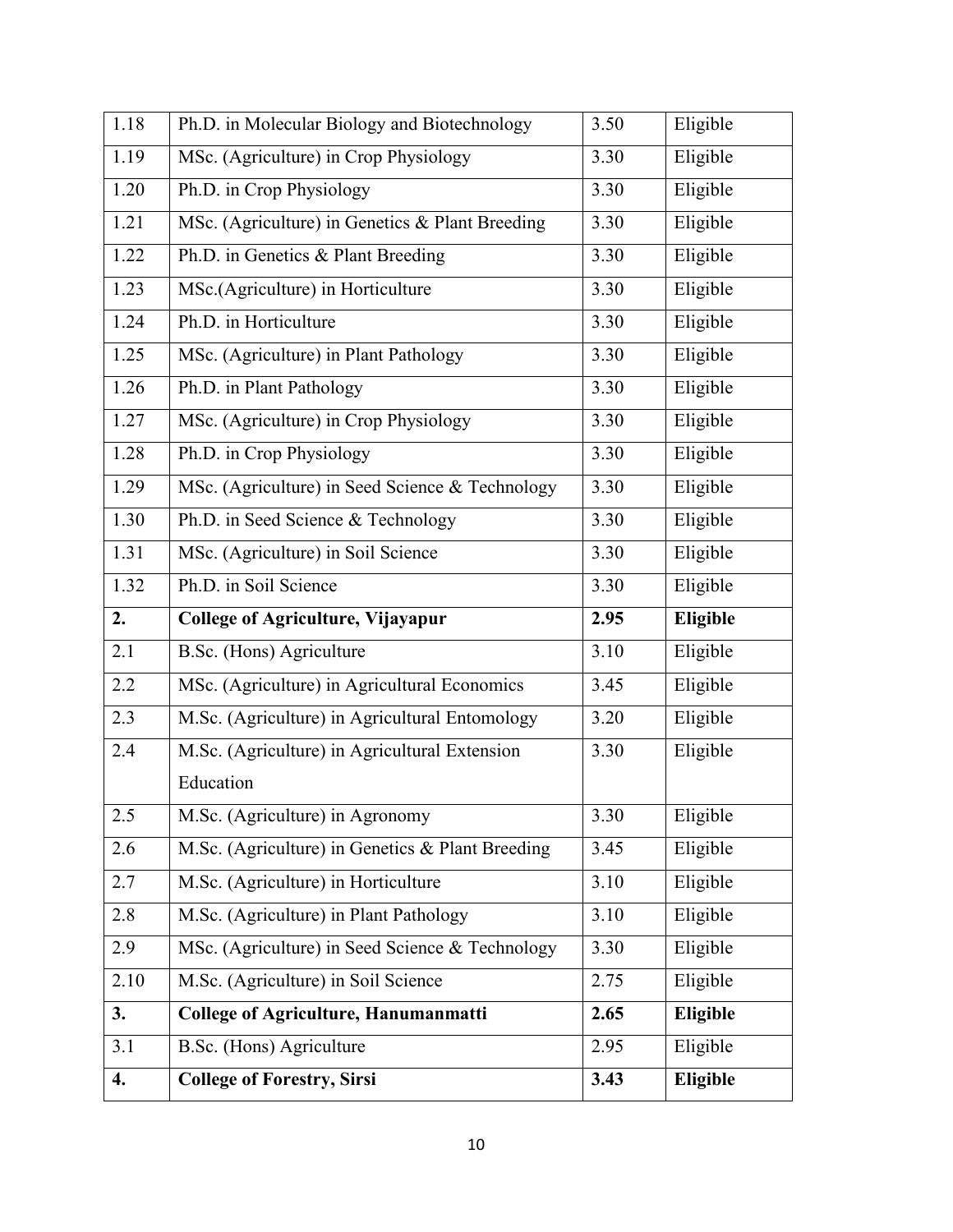| 1.18 | Ph.D. in Molecular Biology and Biotechnology     | 3.50 | Eligible |
|------|--------------------------------------------------|------|----------|
| 1.19 | MSc. (Agriculture) in Crop Physiology            | 3.30 | Eligible |
| 1.20 | Ph.D. in Crop Physiology                         | 3.30 | Eligible |
| 1.21 | MSc. (Agriculture) in Genetics & Plant Breeding  | 3.30 | Eligible |
| 1.22 | Ph.D. in Genetics & Plant Breeding               | 3.30 | Eligible |
| 1.23 | MSc.(Agriculture) in Horticulture                | 3.30 | Eligible |
| 1.24 | Ph.D. in Horticulture                            | 3.30 | Eligible |
| 1.25 | MSc. (Agriculture) in Plant Pathology            | 3.30 | Eligible |
| 1.26 | Ph.D. in Plant Pathology                         | 3.30 | Eligible |
| 1.27 | MSc. (Agriculture) in Crop Physiology            | 3.30 | Eligible |
| 1.28 | Ph.D. in Crop Physiology                         | 3.30 | Eligible |
| 1.29 | MSc. (Agriculture) in Seed Science & Technology  | 3.30 | Eligible |
| 1.30 | Ph.D. in Seed Science & Technology               | 3.30 | Eligible |
| 1.31 | MSc. (Agriculture) in Soil Science               | 3.30 | Eligible |
| 1.32 | Ph.D. in Soil Science                            | 3.30 | Eligible |
|      |                                                  |      |          |
| 2.   | <b>College of Agriculture, Vijayapur</b>         | 2.95 | Eligible |
| 2.1  | B.Sc. (Hons) Agriculture                         | 3.10 | Eligible |
| 2.2  | MSc. (Agriculture) in Agricultural Economics     | 3.45 | Eligible |
| 2.3  | M.Sc. (Agriculture) in Agricultural Entomology   | 3.20 | Eligible |
| 2.4  | M.Sc. (Agriculture) in Agricultural Extension    | 3.30 | Eligible |
|      | Education                                        |      |          |
| 2.5  | M.Sc. (Agriculture) in Agronomy                  | 3.30 | Eligible |
| 2.6  | M.Sc. (Agriculture) in Genetics & Plant Breeding | 3.45 | Eligible |
| 2.7  | M.Sc. (Agriculture) in Horticulture              | 3.10 | Eligible |
| 2.8  | M.Sc. (Agriculture) in Plant Pathology           | 3.10 | Eligible |
| 2.9  | MSc. (Agriculture) in Seed Science & Technology  | 3.30 | Eligible |
| 2.10 | M.Sc. (Agriculture) in Soil Science              | 2.75 | Eligible |
| 3.   | <b>College of Agriculture, Hanumanmatti</b>      | 2.65 | Eligible |
| 3.1  | B.Sc. (Hons) Agriculture                         | 2.95 | Eligible |
| 4.   | <b>College of Forestry, Sirsi</b>                | 3.43 | Eligible |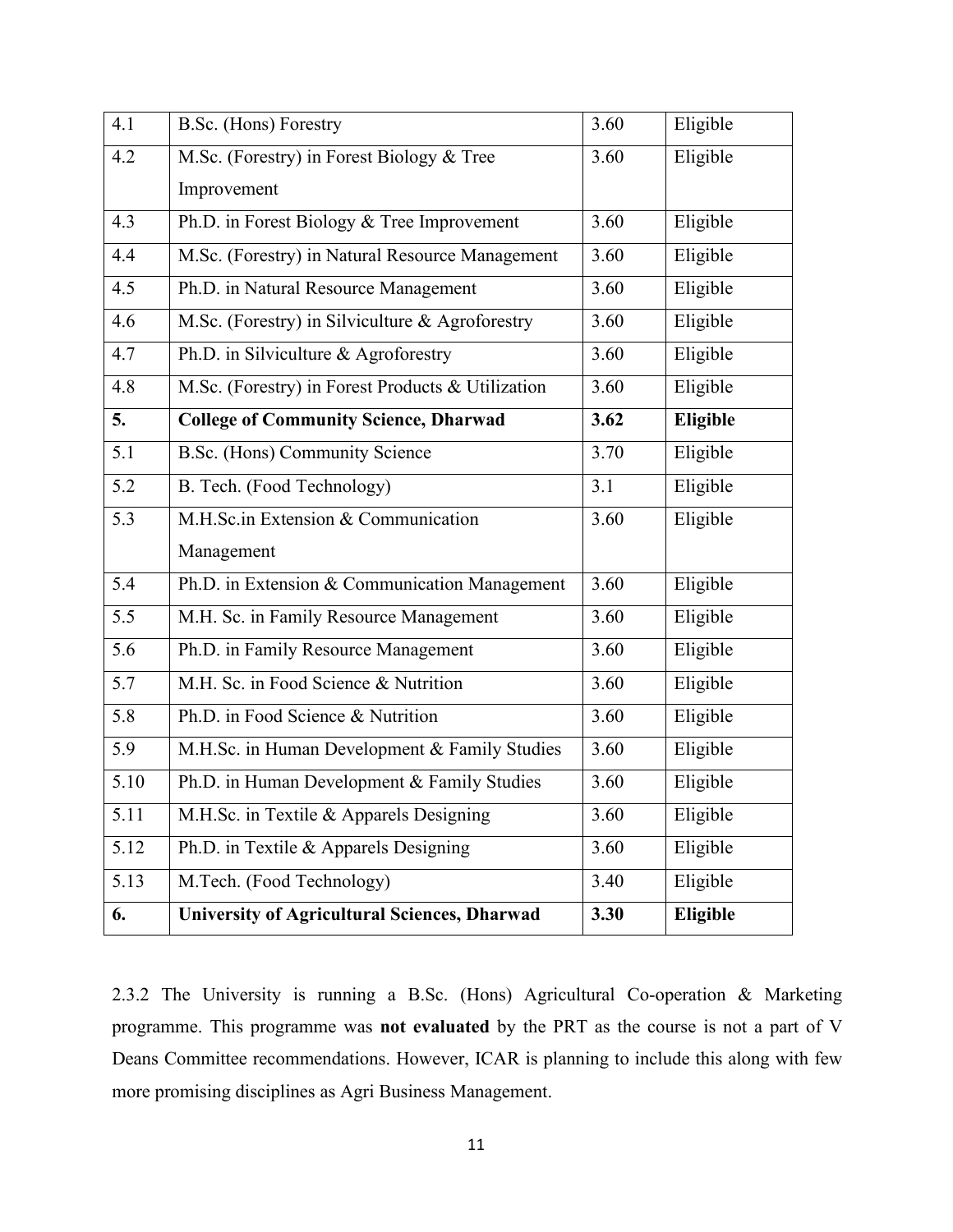| 4.1  | B.Sc. (Hons) Forestry                               | 3.60 | Eligible |
|------|-----------------------------------------------------|------|----------|
| 4.2  | M.Sc. (Forestry) in Forest Biology & Tree           | 3.60 | Eligible |
|      | Improvement                                         |      |          |
| 4.3  | Ph.D. in Forest Biology & Tree Improvement          | 3.60 | Eligible |
| 4.4  | M.Sc. (Forestry) in Natural Resource Management     | 3.60 | Eligible |
| 4.5  | Ph.D. in Natural Resource Management                | 3.60 | Eligible |
| 4.6  | M.Sc. (Forestry) in Silviculture & Agroforestry     | 3.60 | Eligible |
| 4.7  | Ph.D. in Silviculture & Agroforestry                | 3.60 | Eligible |
| 4.8  | M.Sc. (Forestry) in Forest Products & Utilization   | 3.60 | Eligible |
| 5.   | <b>College of Community Science, Dharwad</b>        | 3.62 | Eligible |
| 5.1  | B.Sc. (Hons) Community Science                      | 3.70 | Eligible |
| 5.2  | B. Tech. (Food Technology)                          | 3.1  | Eligible |
| 5.3  | M.H.Sc.in Extension & Communication                 | 3.60 | Eligible |
|      | Management                                          |      |          |
| 5.4  | Ph.D. in Extension & Communication Management       | 3.60 | Eligible |
| 5.5  | M.H. Sc. in Family Resource Management              | 3.60 | Eligible |
| 5.6  | Ph.D. in Family Resource Management                 | 3.60 | Eligible |
| 5.7  | M.H. Sc. in Food Science & Nutrition                | 3.60 | Eligible |
| 5.8  | Ph.D. in Food Science & Nutrition                   | 3.60 | Eligible |
| 5.9  | M.H.Sc. in Human Development & Family Studies       | 3.60 | Eligible |
| 5.10 | Ph.D. in Human Development & Family Studies         | 3.60 | Eligible |
| 5.11 | M.H.Sc. in Textile & Apparels Designing             | 3.60 | Eligible |
| 5.12 | Ph.D. in Textile & Apparels Designing               | 3.60 | Eligible |
| 5.13 | M.Tech. (Food Technology)                           | 3.40 | Eligible |
| 6.   | <b>University of Agricultural Sciences, Dharwad</b> | 3.30 | Eligible |

2.3.2 The University is running aB.Sc. (Hons) Agricultural Co-operation & Marketing programme. This programme was **not evaluated** by the PRT as the course is not a part of V Deans Committee recommendations. However, ICAR is planning to include this along with few more promising disciplines as Agri Business Management.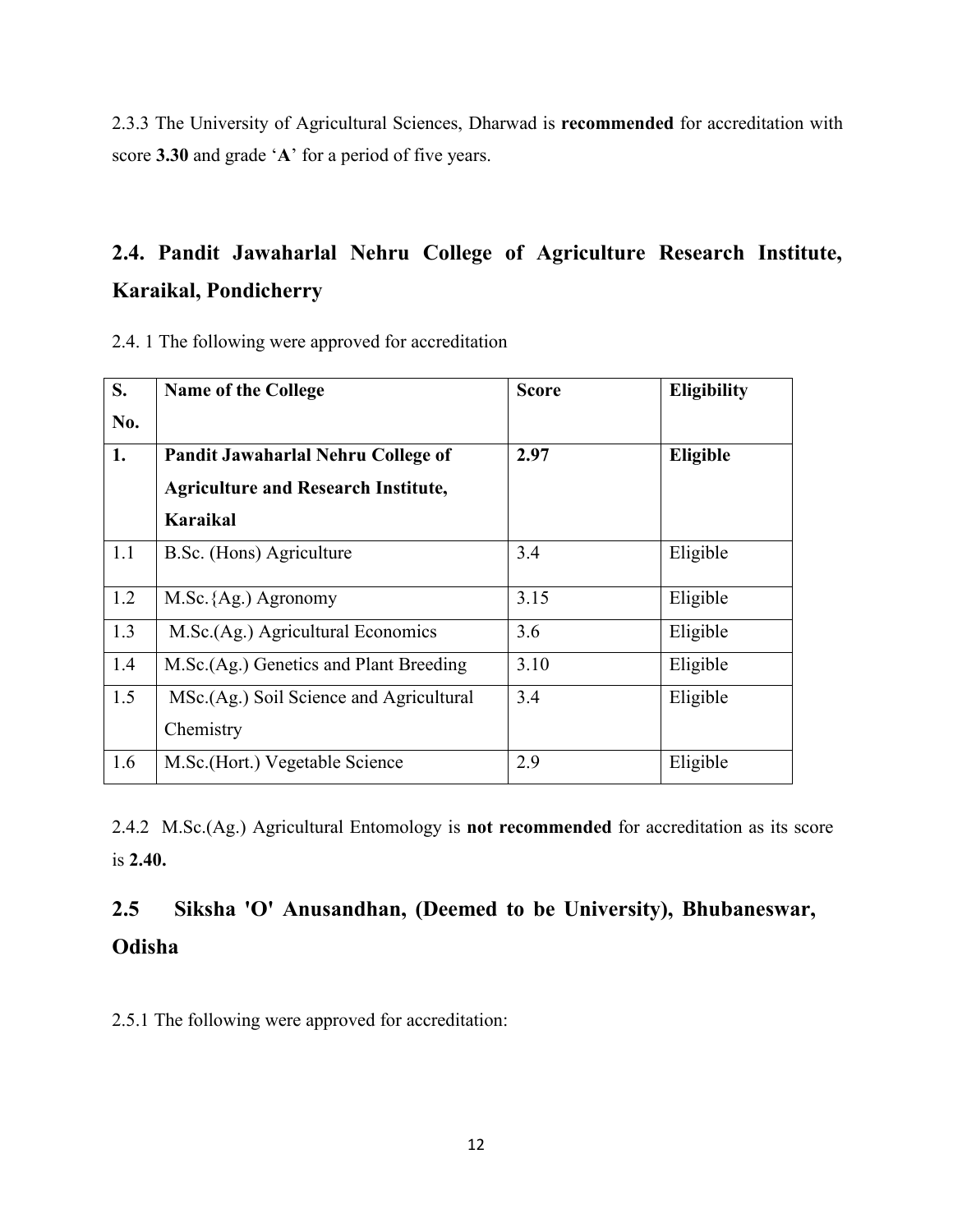2.3.3 The University of Agricultural Sciences, Dharwad is **recommended** for accreditation with score **3.30** and grade '**A**' for a period of five years.

# **2.4. Pandit Jawaharlal Nehru College of Agriculture Research Institute, Karaikal, Pondicherry**

| 2.4. 1 The following were approved for accreditation |  |
|------------------------------------------------------|--|
|------------------------------------------------------|--|

| S.  | <b>Name of the College</b>                 | <b>Score</b> | <b>Eligibility</b> |
|-----|--------------------------------------------|--------------|--------------------|
| No. |                                            |              |                    |
| 1.  | Pandit Jawaharlal Nehru College of         | 2.97         | Eligible           |
|     | <b>Agriculture and Research Institute,</b> |              |                    |
|     | Karaikal                                   |              |                    |
| 1.1 | B.Sc. (Hons) Agriculture                   | 3.4          | Eligible           |
|     |                                            |              |                    |
| 1.2 | M.Sc. {Ag.) Agronomy                       | 3.15         | Eligible           |
| 1.3 | M.Sc.(Ag.) Agricultural Economics          | 3.6          | Eligible           |
| 1.4 | M.Sc.(Ag.) Genetics and Plant Breeding     | 3.10         | Eligible           |
| 1.5 | MSc.(Ag.) Soil Science and Agricultural    | 3.4          | Eligible           |
|     | Chemistry                                  |              |                    |
| 1.6 | M.Sc. (Hort.) Vegetable Science            | 2.9          | Eligible           |

2.4.2 M.Sc.(Ag.) Agricultural Entomology is **not recommended** for accreditation as its score is **2.40.**

# **2.5 Siksha 'O' Anusandhan, (Deemed to be University), Bhubaneswar, Odisha**

2.5.1 The following were approved for accreditation: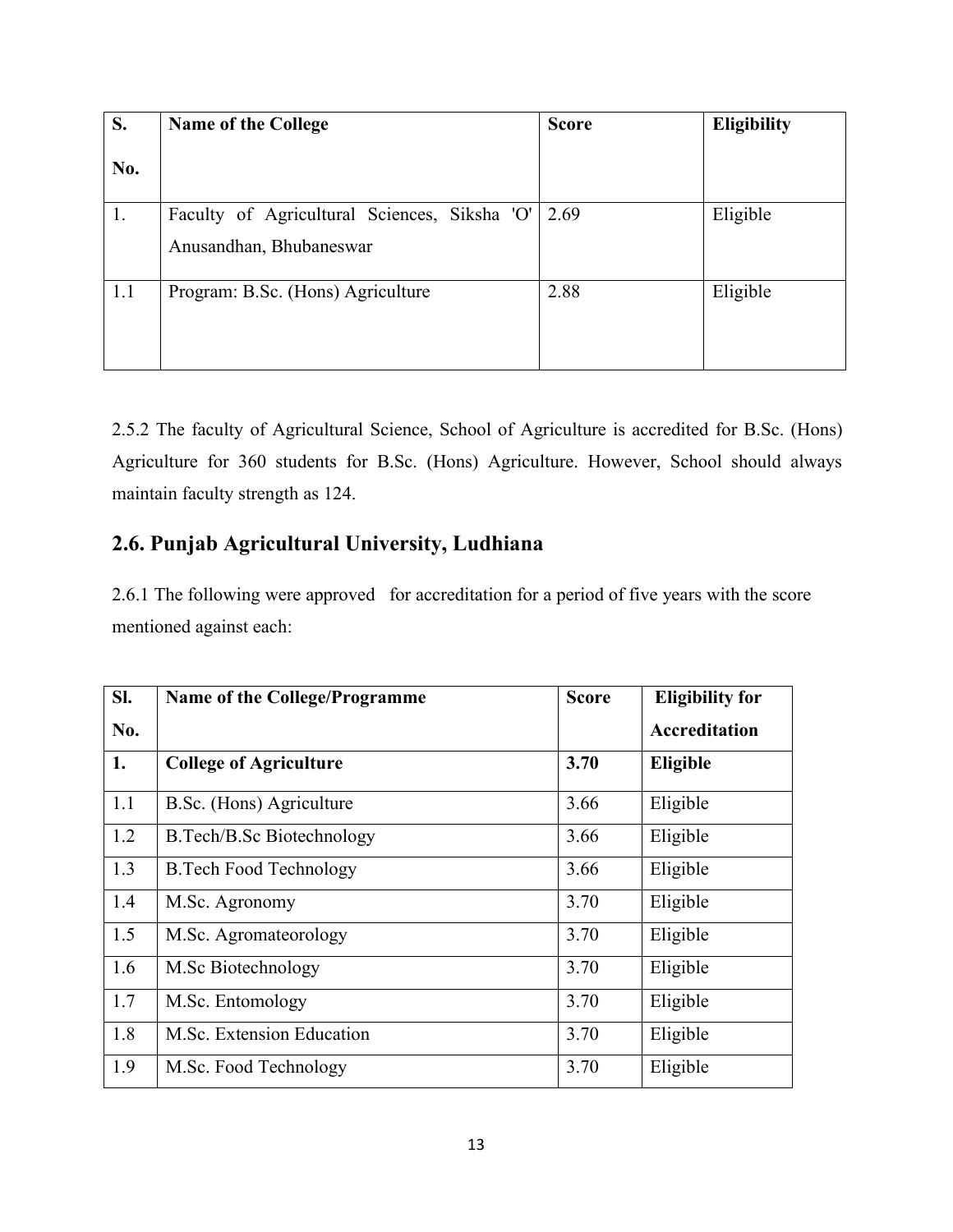| S.  | <b>Name of the College</b>                   | <b>Score</b> | <b>Eligibility</b> |
|-----|----------------------------------------------|--------------|--------------------|
| No. |                                              |              |                    |
| 1.  | Faculty of Agricultural Sciences, Siksha 'O' | 2.69         | Eligible           |
|     | Anusandhan, Bhubaneswar                      |              |                    |
| 1.1 | Program: B.Sc. (Hons) Agriculture            | 2.88         | Eligible           |

2.5.2 The faculty of Agricultural Science, School of Agriculture is accredited for B.Sc. (Hons) Agriculture for 360 students for B.Sc. (Hons) Agriculture. However, School should always maintain faculty strength as 124.

## **2.6. Punjab Agricultural University, Ludhiana**

2.6.1 The following were approved for accreditation for a period of five years with the score mentioned against each:

| SI. | Name of the College/Programme    | <b>Score</b> | <b>Eligibility for</b> |
|-----|----------------------------------|--------------|------------------------|
| No. |                                  |              | Accreditation          |
| 1.  | <b>College of Agriculture</b>    | 3.70         | Eligible               |
| 1.1 | B.Sc. (Hons) Agriculture         | 3.66         | Eligible               |
| 1.2 | <b>B.Tech/B.Sc Biotechnology</b> | 3.66         | Eligible               |
| 1.3 | <b>B.Tech Food Technology</b>    | 3.66         | Eligible               |
| 1.4 | M.Sc. Agronomy                   | 3.70         | Eligible               |
| 1.5 | M.Sc. Agromateorology            | 3.70         | Eligible               |
| 1.6 | M.Sc Biotechnology               | 3.70         | Eligible               |
| 1.7 | M.Sc. Entomology                 | 3.70         | Eligible               |
| 1.8 | M.Sc. Extension Education        | 3.70         | Eligible               |
| 1.9 | M.Sc. Food Technology            | 3.70         | Eligible               |
|     |                                  |              |                        |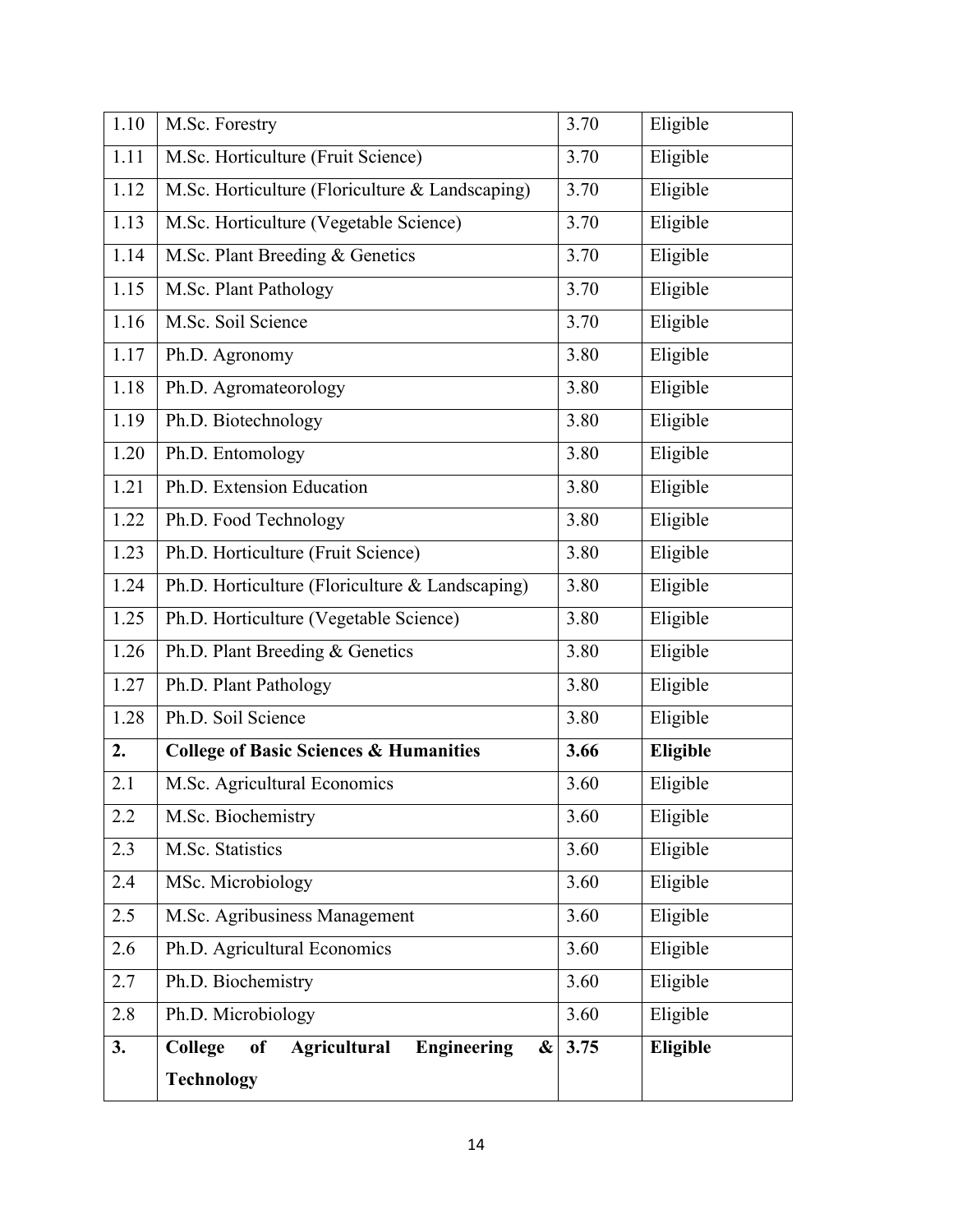| M.Sc. Forestry                                                  | 3.70 | Eligible |
|-----------------------------------------------------------------|------|----------|
| M.Sc. Horticulture (Fruit Science)                              | 3.70 | Eligible |
| M.Sc. Horticulture (Floriculture & Landscaping)                 | 3.70 | Eligible |
| M.Sc. Horticulture (Vegetable Science)                          | 3.70 | Eligible |
| M.Sc. Plant Breeding & Genetics                                 | 3.70 | Eligible |
| M.Sc. Plant Pathology                                           | 3.70 | Eligible |
| M.Sc. Soil Science                                              | 3.70 | Eligible |
| Ph.D. Agronomy                                                  | 3.80 | Eligible |
| Ph.D. Agromateorology                                           | 3.80 | Eligible |
| Ph.D. Biotechnology                                             | 3.80 | Eligible |
| Ph.D. Entomology                                                | 3.80 | Eligible |
| Ph.D. Extension Education                                       | 3.80 | Eligible |
| Ph.D. Food Technology                                           | 3.80 | Eligible |
| Ph.D. Horticulture (Fruit Science)                              | 3.80 | Eligible |
| Ph.D. Horticulture (Floriculture & Landscaping)                 | 3.80 | Eligible |
| Ph.D. Horticulture (Vegetable Science)                          | 3.80 | Eligible |
| Ph.D. Plant Breeding & Genetics                                 | 3.80 | Eligible |
| Ph.D. Plant Pathology                                           | 3.80 | Eligible |
| Ph.D. Soil Science                                              | 3.80 | Eligible |
| <b>College of Basic Sciences &amp; Humanities</b>               | 3.66 | Eligible |
| M.Sc. Agricultural Economics                                    | 3.60 | Eligible |
| M.Sc. Biochemistry                                              | 3.60 | Eligible |
| M.Sc. Statistics                                                | 3.60 | Eligible |
| MSc. Microbiology                                               | 3.60 | Eligible |
| M.Sc. Agribusiness Management                                   | 3.60 | Eligible |
| Ph.D. Agricultural Economics                                    | 3.60 | Eligible |
| Ph.D. Biochemistry                                              | 3.60 | Eligible |
| Ph.D. Microbiology                                              | 3.60 | Eligible |
|                                                                 |      |          |
| College<br><b>Engineering</b><br>of<br><b>Agricultural</b><br>& | 3.75 | Eligible |
|                                                                 |      |          |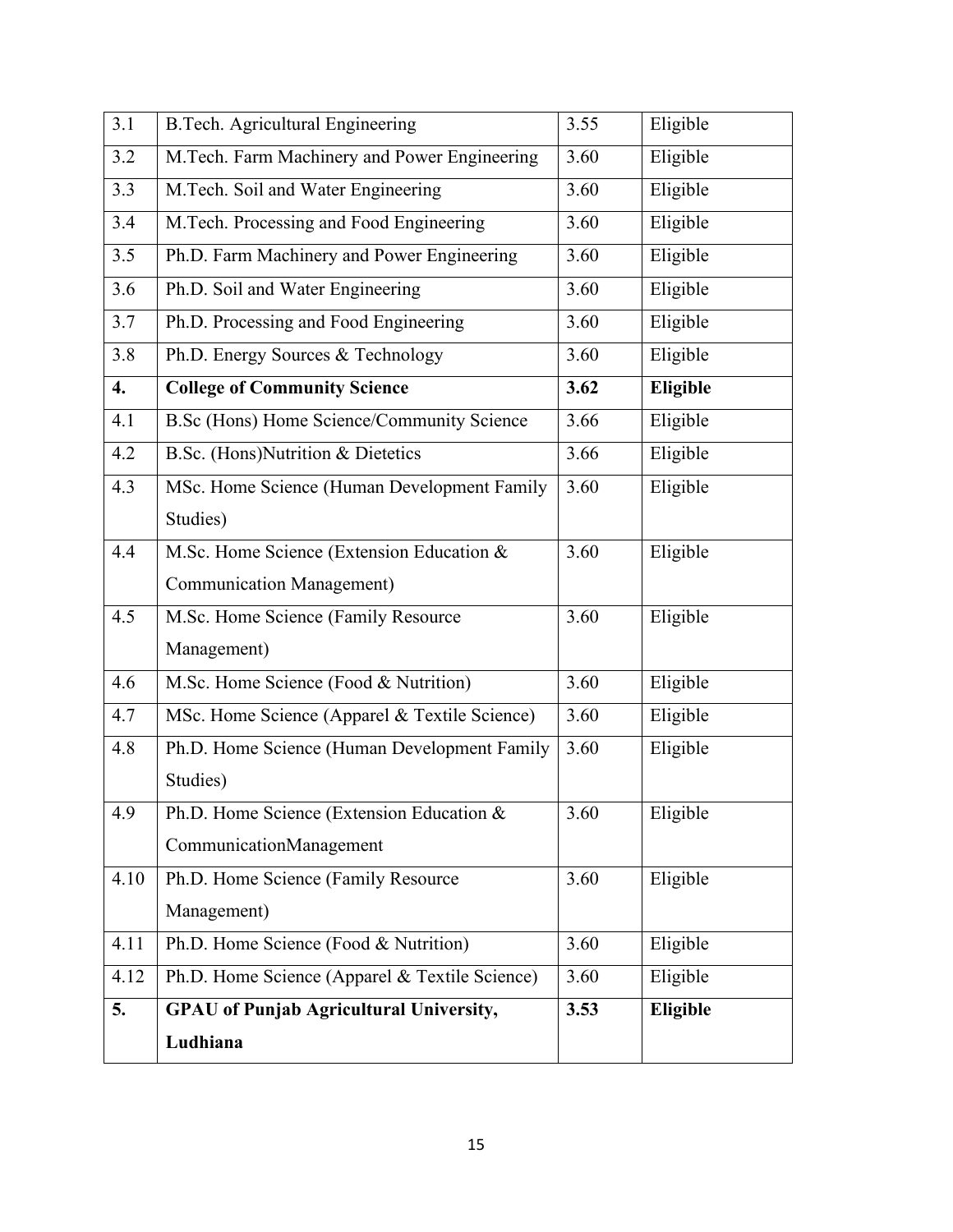| 3.1  | <b>B.Tech. Agricultural Engineering</b>        | 3.55 | Eligible |
|------|------------------------------------------------|------|----------|
| 3.2  | M.Tech. Farm Machinery and Power Engineering   | 3.60 | Eligible |
| 3.3  | M.Tech. Soil and Water Engineering             | 3.60 | Eligible |
| 3.4  | M.Tech. Processing and Food Engineering        | 3.60 | Eligible |
| 3.5  | Ph.D. Farm Machinery and Power Engineering     | 3.60 | Eligible |
| 3.6  | Ph.D. Soil and Water Engineering               | 3.60 | Eligible |
| 3.7  | Ph.D. Processing and Food Engineering          | 3.60 | Eligible |
| 3.8  | Ph.D. Energy Sources & Technology              | 3.60 | Eligible |
| 4.   | <b>College of Community Science</b>            | 3.62 | Eligible |
| 4.1  | B.Sc (Hons) Home Science/Community Science     | 3.66 | Eligible |
| 4.2  | B.Sc. (Hons)Nutrition & Dietetics              | 3.66 | Eligible |
| 4.3  | MSc. Home Science (Human Development Family    | 3.60 | Eligible |
|      | Studies)                                       |      |          |
| 4.4  | M.Sc. Home Science (Extension Education &      | 3.60 | Eligible |
|      | Communication Management)                      |      |          |
| 4.5  | M.Sc. Home Science (Family Resource            | 3.60 | Eligible |
|      | Management)                                    |      |          |
| 4.6  | M.Sc. Home Science (Food & Nutrition)          | 3.60 | Eligible |
| 4.7  | MSc. Home Science (Apparel & Textile Science)  | 3.60 | Eligible |
| 4.8  | Ph.D. Home Science (Human Development Family   | 3.60 | Eligible |
|      | Studies)                                       |      |          |
| 4.9  | Ph.D. Home Science (Extension Education &      | 3.60 | Eligible |
|      | CommunicationManagement                        |      |          |
| 4.10 | Ph.D. Home Science (Family Resource            | 3.60 | Eligible |
|      | Management)                                    |      |          |
| 4.11 | Ph.D. Home Science (Food & Nutrition)          | 3.60 | Eligible |
| 4.12 | Ph.D. Home Science (Apparel & Textile Science) | 3.60 | Eligible |
| 5.   | <b>GPAU</b> of Punjab Agricultural University, | 3.53 | Eligible |
|      | Ludhiana                                       |      |          |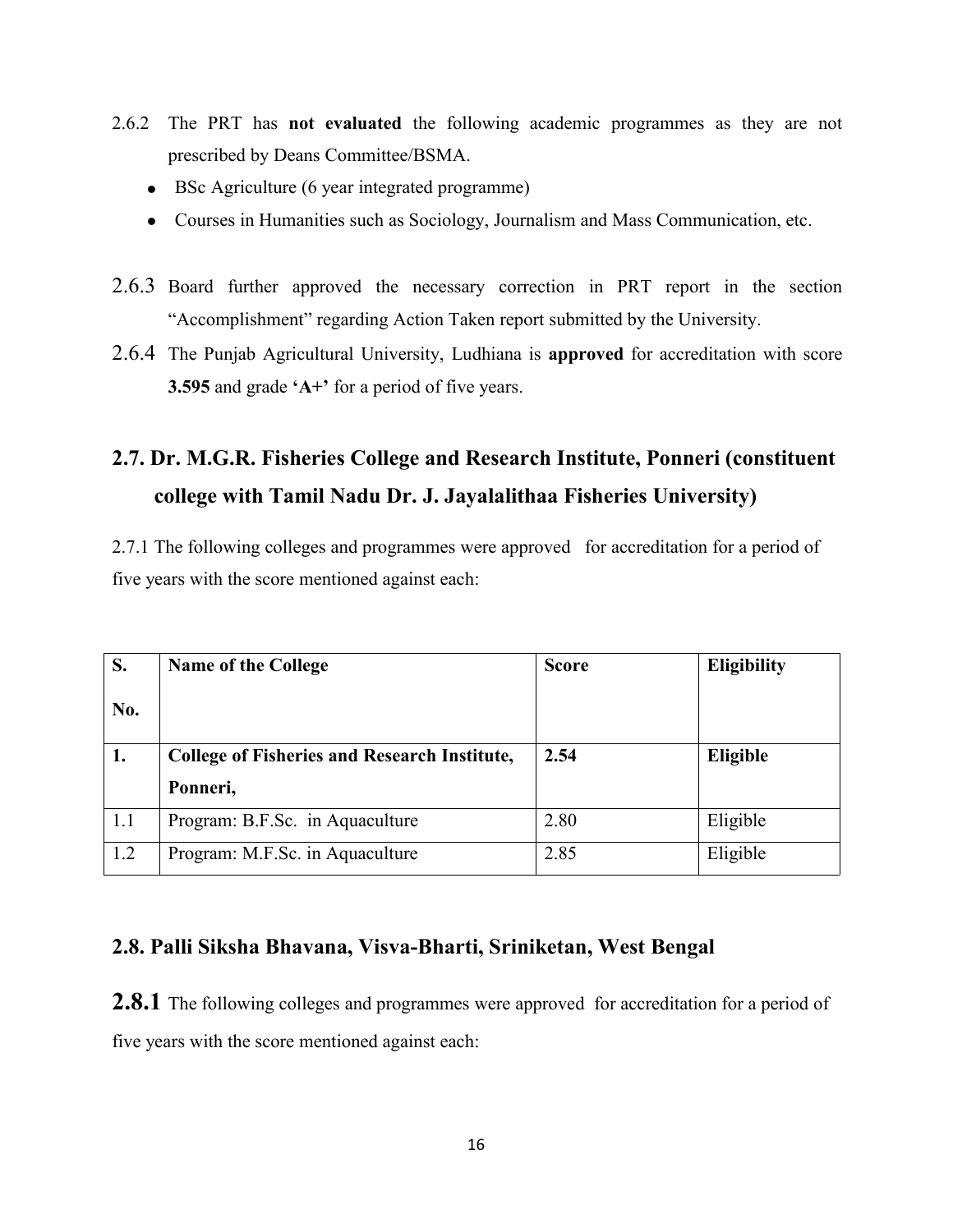- 2.6.2 The PRT has **not evaluated** the following academic programmes as they are not prescribed by Deans Committee/BSMA.
	- BSc Agriculture (6 year integrated programme)
	- Courses in Humanities such as Sociology, Journalism and Mass Communication, etc.
- 2.6.3 Board further approved the necessary correction in PRT report in the section "Accomplishment" regarding Action Taken report submitted by the University.
- 2.6.4 The Punjab Agricultural University, Ludhiana is **approved** for accreditation with score **3.595** and grade **'A+'** for a period of five years.

# **2.7. Dr. M.G.R. Fisheries College and Research Institute, Ponneri (constituent college with Tamil Nadu Dr. J. Jayalalithaa Fisheries University)**

2.7.1 The following colleges and programmes were approved for accreditation for a period of five years with the score mentioned against each:

| S.  | <b>Name of the College</b>                          | <b>Score</b> | <b>Eligibility</b> |
|-----|-----------------------------------------------------|--------------|--------------------|
| No. |                                                     |              |                    |
| 1.  | <b>College of Fisheries and Research Institute,</b> | 2.54         | Eligible           |
|     |                                                     |              |                    |
|     | Ponneri,                                            |              |                    |
| 1.1 | Program: B.F.Sc. in Aquaculture                     | 2.80         | Eligible           |

## **2.8. Palli Siksha Bhavana, Visva-Bharti, Sriniketan, West Bengal**

**2.8.1** The following colleges and programmes were approved for accreditation for a period of five years with the score mentioned against each: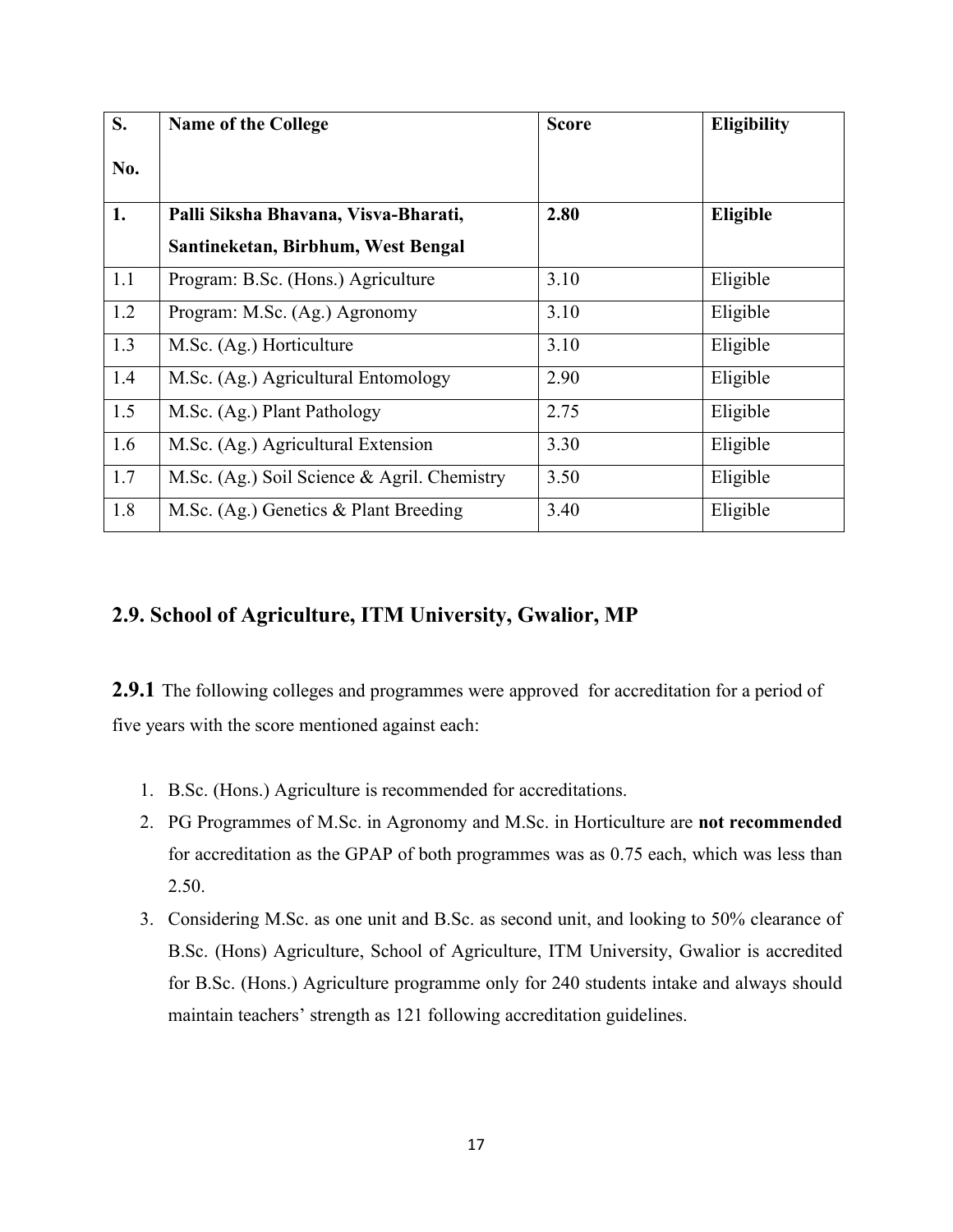| S.  | <b>Name of the College</b>                  | <b>Score</b> | <b>Eligibility</b> |
|-----|---------------------------------------------|--------------|--------------------|
| No. |                                             |              |                    |
| 1.  | Palli Siksha Bhavana, Visva-Bharati,        | 2.80         | Eligible           |
|     | Santineketan, Birbhum, West Bengal          |              |                    |
| 1.1 | Program: B.Sc. (Hons.) Agriculture          | 3.10         | Eligible           |
| 1.2 | Program: M.Sc. (Ag.) Agronomy               | 3.10         | Eligible           |
| 1.3 | M.Sc. (Ag.) Horticulture                    | 3.10         | Eligible           |
| 1.4 | M.Sc. (Ag.) Agricultural Entomology         | 2.90         | Eligible           |
| 1.5 | M.Sc. (Ag.) Plant Pathology                 | 2.75         | Eligible           |
| 1.6 | M.Sc. (Ag.) Agricultural Extension          | 3.30         | Eligible           |
| 1.7 | M.Sc. (Ag.) Soil Science & Agril. Chemistry | 3.50         | Eligible           |
| 1.8 | M.Sc. (Ag.) Genetics & Plant Breeding       | 3.40         | Eligible           |

## **2.9. School of Agriculture, ITM University, Gwalior, MP**

**2.9.1** The following colleges and programmes were approved for accreditation for a period of five years with the score mentioned against each:

- 1. B.Sc. (Hons.) Agriculture is recommended for accreditations.
- 2. PG Programmes of M.Sc. in Agronomy and M.Sc. in Horticulture are **not recommended** for accreditation as the GPAP of both programmes was as 0.75 each, which was less than 2.50.
- 3. Considering M.Sc. as one unit and B.Sc. as second unit, and looking to 50% clearance of B.Sc. (Hons) Agriculture, School of Agriculture, ITM University, Gwalior is accredited for B.Sc. (Hons.) Agriculture programme only for 240 students intake and always should maintain teachers' strength as 121 following accreditation guidelines.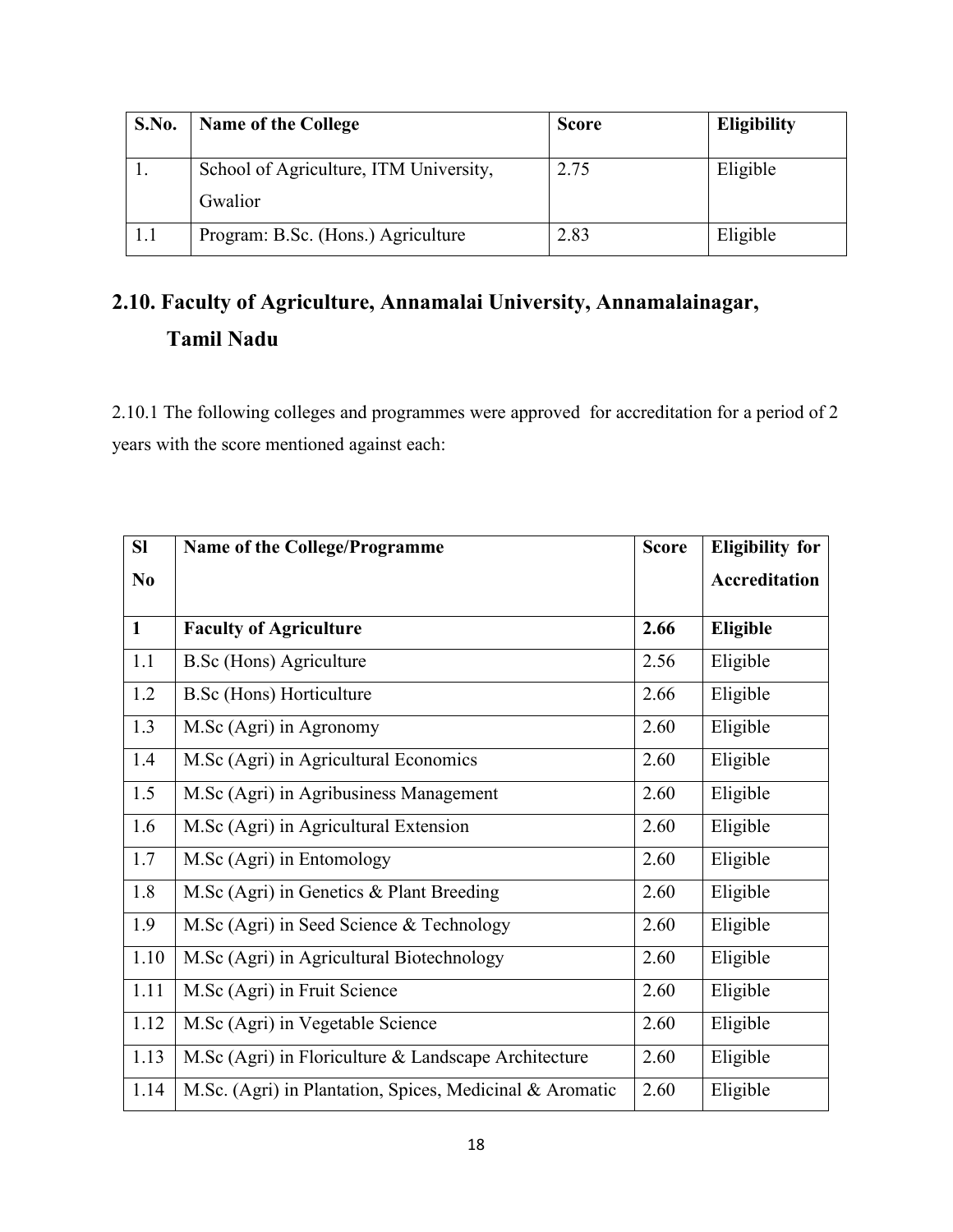| S.No. | <b>Name of the College</b>             | <b>Score</b> | <b>Eligibility</b> |
|-------|----------------------------------------|--------------|--------------------|
|       | School of Agriculture, ITM University, | 2.75         | Eligible           |
|       | Gwalior                                |              |                    |
| 1.1   | Program: B.Sc. (Hons.) Agriculture     | 2.83         | Eligible           |

# **2.10. Faculty of Agriculture, Annamalai University, Annamalainagar, Tamil Nadu**

2.10.1 The following colleges and programmes were approved for accreditation for a period of 2 years with the score mentioned against each:

| SI             | <b>Name of the College/Programme</b>                     | <b>Score</b> | <b>Eligibility for</b> |
|----------------|----------------------------------------------------------|--------------|------------------------|
| N <sub>0</sub> |                                                          |              | Accreditation          |
| $\mathbf{1}$   | <b>Faculty of Agriculture</b>                            | 2.66         | Eligible               |
| 1.1            | <b>B.Sc</b> (Hons) Agriculture                           | 2.56         | Eligible               |
| 1.2            | <b>B.Sc</b> (Hons) Horticulture                          | 2.66         | Eligible               |
| 1.3            | M.Sc (Agri) in Agronomy                                  | 2.60         | Eligible               |
| 1.4            | M.Sc (Agri) in Agricultural Economics                    | 2.60         | Eligible               |
| 1.5            | M.Sc (Agri) in Agribusiness Management                   | 2.60         | Eligible               |
| 1.6            | M.Sc (Agri) in Agricultural Extension                    | 2.60         | Eligible               |
| 1.7            | M.Sc (Agri) in Entomology                                | 2.60         | Eligible               |
| 1.8            | M.Sc (Agri) in Genetics & Plant Breeding                 | 2.60         | Eligible               |
| 1.9            | M.Sc (Agri) in Seed Science & Technology                 | 2.60         | Eligible               |
| 1.10           | M.Sc (Agri) in Agricultural Biotechnology                | 2.60         | Eligible               |
| 1.11           | M.Sc (Agri) in Fruit Science                             | 2.60         | Eligible               |
| 1.12           | M.Sc (Agri) in Vegetable Science                         | 2.60         | Eligible               |
| 1.13           | M.Sc (Agri) in Floriculture & Landscape Architecture     | 2.60         | Eligible               |
| 1.14           | M.Sc. (Agri) in Plantation, Spices, Medicinal & Aromatic | 2.60         | Eligible               |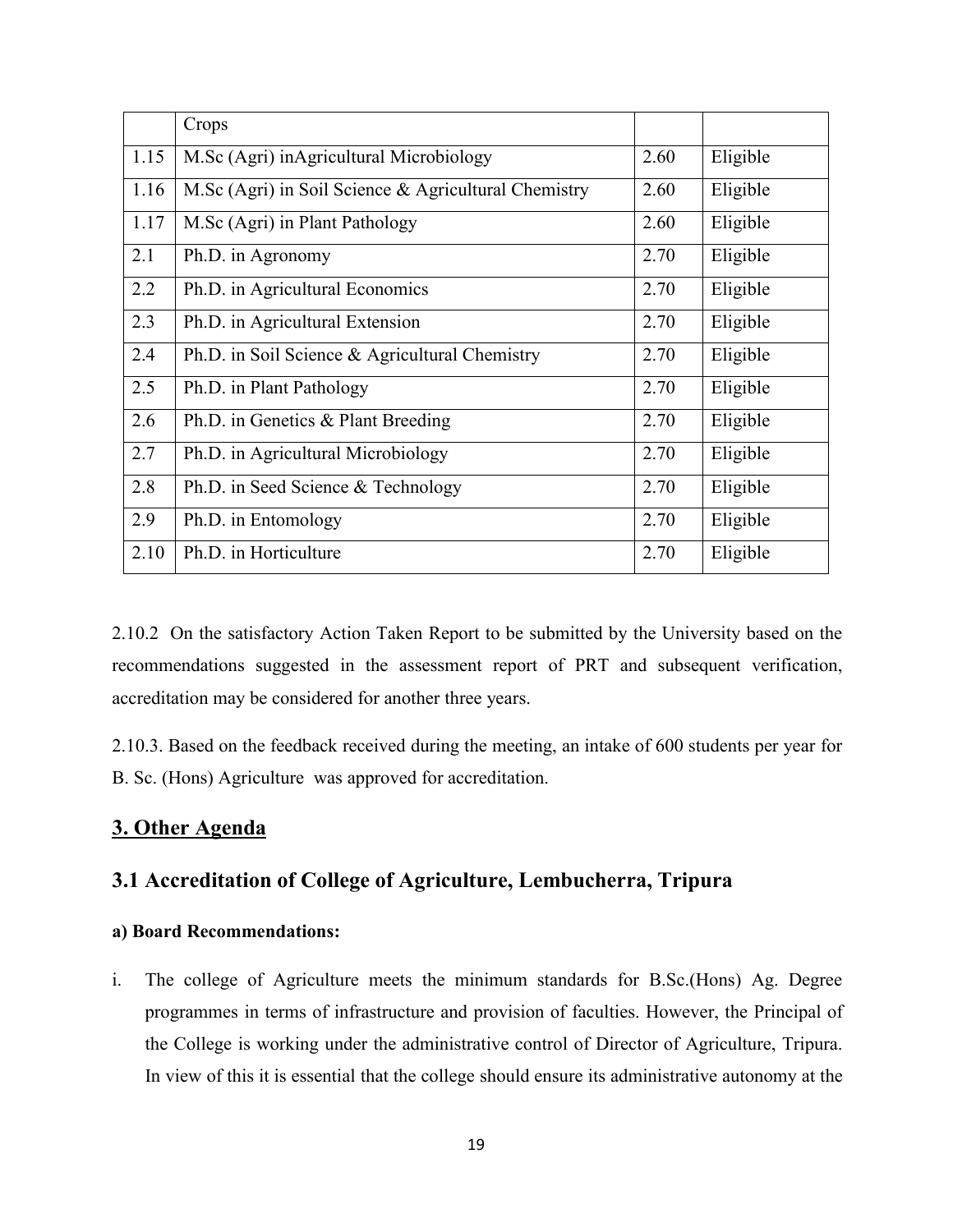|      | Crops                                                |      |          |
|------|------------------------------------------------------|------|----------|
| 1.15 | M.Sc (Agri) inAgricultural Microbiology              | 2.60 | Eligible |
| 1.16 | M.Sc (Agri) in Soil Science & Agricultural Chemistry | 2.60 | Eligible |
| 1.17 | M.Sc (Agri) in Plant Pathology                       | 2.60 | Eligible |
| 2.1  | Ph.D. in Agronomy                                    | 2.70 | Eligible |
| 2.2  | Ph.D. in Agricultural Economics                      | 2.70 | Eligible |
| 2.3  | Ph.D. in Agricultural Extension                      | 2.70 | Eligible |
| 2.4  | Ph.D. in Soil Science & Agricultural Chemistry       | 2.70 | Eligible |
| 2.5  | Ph.D. in Plant Pathology                             | 2.70 | Eligible |
| 2.6  | Ph.D. in Genetics & Plant Breeding                   | 2.70 | Eligible |
| 2.7  | Ph.D. in Agricultural Microbiology                   | 2.70 | Eligible |
| 2.8  | Ph.D. in Seed Science & Technology                   | 2.70 | Eligible |
| 2.9  | Ph.D. in Entomology                                  | 2.70 | Eligible |
| 2.10 | Ph.D. in Horticulture                                | 2.70 | Eligible |

2.10.2 On the satisfactory Action Taken Report to be submitted by the University based on the recommendations suggested in the assessment report of PRT and subsequent verification, accreditation may be considered for another three years.

2.10.3. Based on the feedback received during the meeting, an intake of 600 students per year for B. Sc. (Hons) Agriculture was approved for accreditation.

## **3. Other Agenda**

## **3.1 Accreditation of College of Agriculture, Lembucherra, Tripura**

### **a) Board Recommendations:**

i. The college of Agriculture meets the minimum standards for B.Sc.(Hons) Ag. Degree programmes in terms of infrastructure and provision of faculties. However, the Principal of the College is working under the administrative control of Director of Agriculture, Tripura. In view of this it is essential that the college should ensure its administrative autonomy at the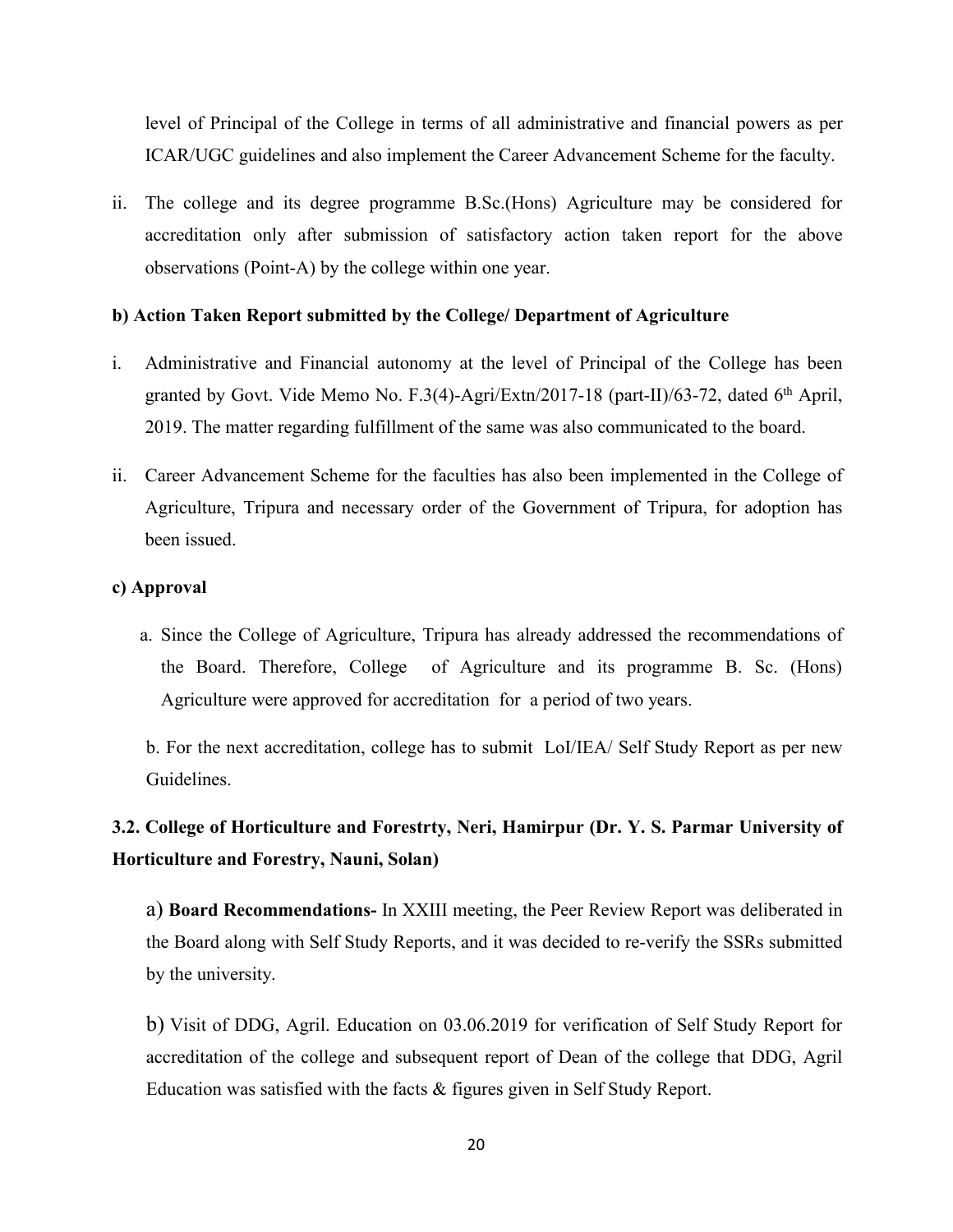level of Principal of the College in terms of all administrative and financial powers as per ICAR/UGC guidelines and also implement the Career Advancement Scheme for the faculty.

ii. The college and its degree programme B.Sc.(Hons) Agriculture may be considered for accreditation only after submission of satisfactory action taken report for the above observations (Point-A) by the college within one year.

#### **b) Action Taken Report submitted by the College/ Department of Agriculture**

- i. Administrative and Financial autonomy at the level of Principal of the College has been granted by Govt. Vide Memo No. F.3(4)-Agri/Extn/2017-18 (part-II)/63-72, dated 6 th April, 2019. The matter regarding fulfillment of the same was also communicated to the board.
- ii. Career Advancement Scheme for the faculties has also been implemented in the College of Agriculture, Tripura and necessary order of the Government of Tripura, for adoption has been issued.

#### **c) Approval**

a. Since the College of Agriculture, Tripura has already addressed the recommendations of the Board. Therefore, College of Agriculture and its programme B. Sc. (Hons) Agriculture were approved for accreditation for a period of two years.

b. For the next accreditation, college has to submit LoI/IEA/ Self Study Report as per new Guidelines.

## **3.2. College of Horticulture and Forestrty, Neri, Hamirpur (Dr. Y. S. Parmar University of Horticulture and Forestry, Nauni, Solan)**

a) **Board Recommendations-** In XXIII meeting, the Peer Review Report was deliberated in the Board along with Self Study Reports, and it was decided to re-verify the SSRs submitted by the university.

b) Visit of DDG, Agril. Education on 03.06.2019 for verification of Self Study Report for accreditation of the college and subsequent report of Dean of the college that DDG, Agril Education was satisfied with the facts & figures given in Self Study Report.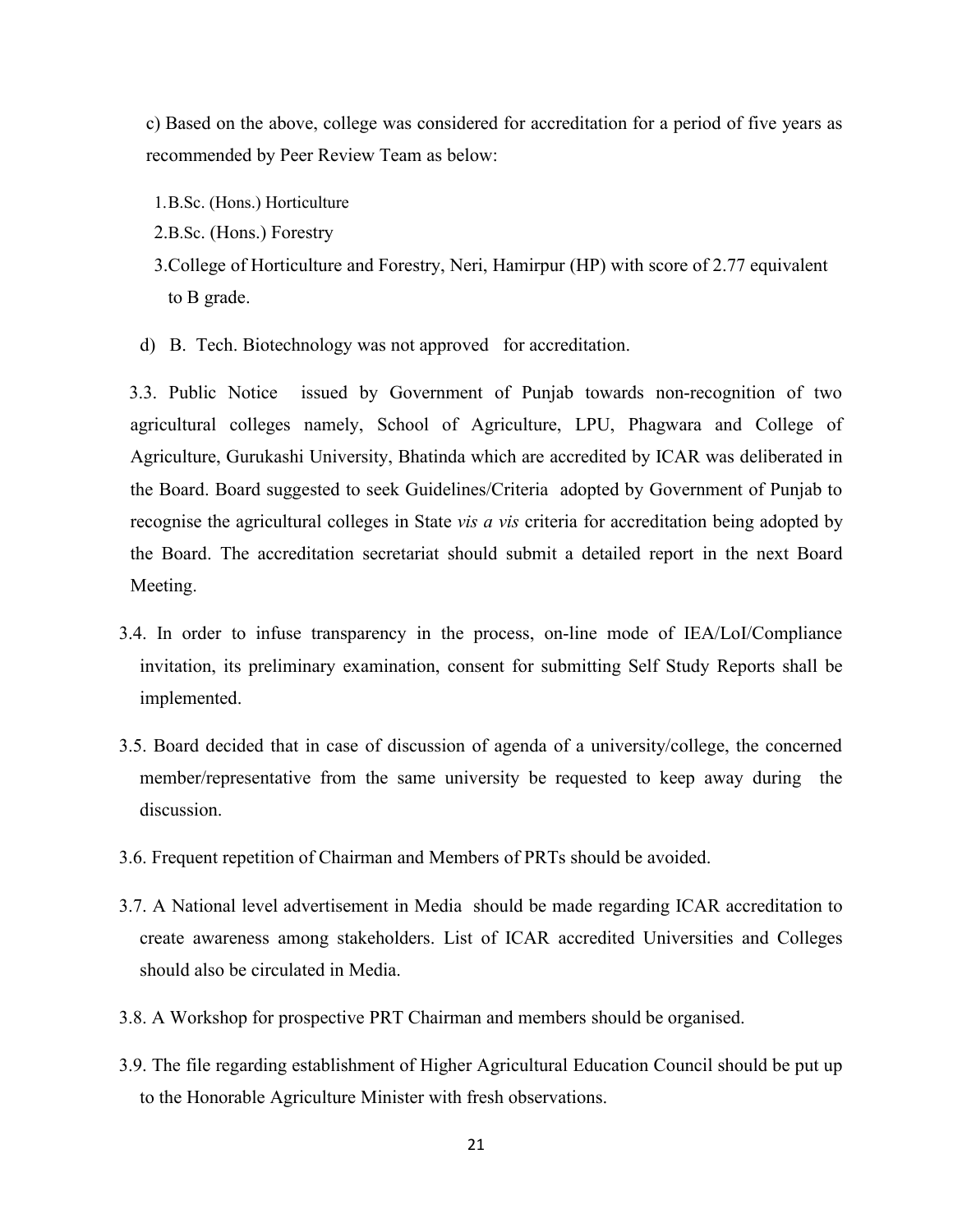c) Based on the above, college was considered for accreditation for a period of five years as recommended by Peer Review Team as below:

- 1.B.Sc. (Hons.) Horticulture
- 2.B.Sc. (Hons.) Forestry
- 3.College of Horticulture and Forestry, Neri, Hamirpur (HP) with score of 2.77 equivalent to B grade.
- d) B. Tech. Biotechnology was not approved for accreditation.

3.3. Public Notice issued by Government of Punjab towards non-recognition of two agricultural colleges namely, School of Agriculture, LPU, Phagwara and College of Agriculture, Gurukashi University, Bhatinda which are accredited by ICAR was deliberated in the Board. Board suggested to seek Guidelines/Criteria adopted by Government of Punjab to recognise the agricultural colleges in State *vis a vis* criteria for accreditation being adopted by the Board. The accreditation secretariat should submit a detailed report in the next Board Meeting.

- 3.4. In order to infuse transparency in the process, on-line mode of IEA/LoI/Compliance invitation, its preliminary examination, consent for submitting Self Study Reports shall be implemented.
- 3.5. Board decided that in case of discussion of agenda of a university/college, the concerned member/representative from the same university be requested to keep away during the discussion.
- 
- 3.6. Frequent repetition of Chairman and Members of PRTs should be avoided.<br>3.7. A National level advertisement in Media should be made regarding ICAR accreditation to create awareness among stakeholders. List of ICAR accredited Universities and Colleges should also be circulated in Media.
- 3.8. A Workshop for prospective PRT Chairman and members should be organised.
- 3.9. The file regarding establishment of Higher Agricultural Education Council should be put up to the Honorable Agriculture Minister with fresh observations.